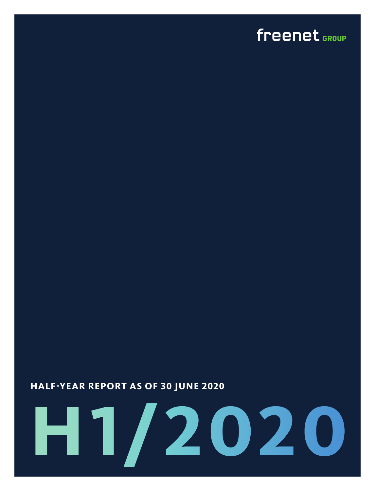### freenet GROUP

### **HALF-YEAR REPORT AS OF 30 JUNE 2020**

# **H1/2020**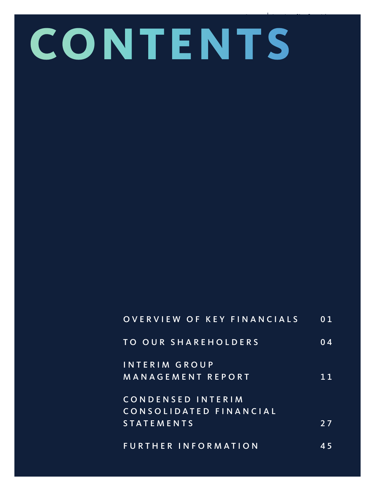# **CONTENTS**

## OVERVIEW OF KEY FINANCIALS 01 TO OUR SHAREHOLDERS 04 INTERIM GROUP MANAGEMENT REPORT 11 CONDENSED INTERIM C O N S O L I D A T E D F I N A N C I A L STATEMENTS 27

FURTHER INFORMATION 45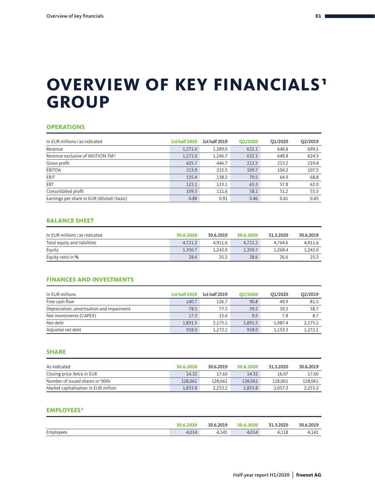### **OVERVIEW OF KEY FINANCIALS<sup>1</sup> GROUP**

#### **OPERATIONS**

| In EUR millions / as indicated              | <b>1st half 2020</b> | 1st half 2019 | Q2/2020 | Q1/2020 | Q2/2019 |
|---------------------------------------------|----------------------|---------------|---------|---------|---------|
| Revenue                                     | 1,271.0              | 1,389.0       | 622.1   | 648.8   | 699.1   |
| Revenue exclusive of MOTION TM <sup>2</sup> | 1,271.0              | 1,246.7       | 622.1   | 648.8   | 624.3   |
| Gross profit                                | 425.7                | 446.7         | 212.5   | 213.2   | 219.4   |
| <b>EBITDA</b>                               | 213.9                | 215.5         | 109.7   | 104.2   | 107.5   |
| EBIT                                        | 135.4                | 138.2         | 70.5    | 64.9    | 68.8    |
| EBT                                         | 123.1                | 123.1         | 65.3    | 57.8    | 62.0    |
| Consolidated profit                         | 109.3                | 111.6         | 58.1    | 51.2    | 55.5    |
| Earnings per share in EUR (diluted / basic) | 0.88                 | 0.91          | 0.46    | 0.41    | 0.45    |

#### **BALANCE SHEET**

| In EUR millions / as indicated | 30.6.2020 | 30.6.2019 | 30.6.2020 | 31.3.2020 | 30.6.2019 |
|--------------------------------|-----------|-----------|-----------|-----------|-----------|
| Total equity and liabilities   | 4,721.2   | 4.911.6   | 4,721.2   | 4.764.6   | 4.911.6   |
| Equity                         | 1.350.7   | 1.242.0   | 1.350.7   | 1.268.4   | 1.242.0   |
| Equity ratio in %              | 28.6      | 25.3      | 28.6      | 26.6      | 25.3      |

#### **FINANCES AND INVESTMENTS**

| In EUR millions                           | <b>1st half 2020</b> | 1st half 2019 | O2/2020 | O1/2020 | O2/2019 |
|-------------------------------------------|----------------------|---------------|---------|---------|---------|
| Free cash flow                            | 140.7                | 126.7         | 90.8    | 49.9    | 81.5    |
| Depreciation, amortisation and impairment | 78.5                 | 77.3          | 39.2    | 39.3    | 38.7    |
| Net investments (CAPEX)                   | 17.3                 | 15.6          | 9.5     | 7.8     | 8.7     |
| Net debt                                  | 1.891.5              | 2.175.1       | 1.891.5 | 1.987.4 | 2,175.1 |
| Adjusted net debt                         | 918.0                | 1.272.1       | 918.0   | 1.153.3 | 1.272.1 |

#### **SHARE**

| As indicated                         | 30.6.2020 | 30.6.2019 | 30.6.2020 | 31.3.2020 | 30.6.2019 |
|--------------------------------------|-----------|-----------|-----------|-----------|-----------|
| Closing price Xetra in EUR           | 14.32     | 17.60     | 14.32     | 16.07     | 17.60     |
| Number of issued shares in '000s     | 128,061   | 128.061   | 128,061   | 128.061   | 128.061   |
| Market capitalisation in EUR million | 1.833.8   | 2.253.2   | 1.833.8   | 2.057.3   | 2.253.2   |

#### **EMPLOYEES**<sup>3</sup>

|           | 30.6.2020 | 30.6.2019 | 30.6.2020 | 31.3.2020 | 30.6.2019 |
|-----------|-----------|-----------|-----------|-----------|-----------|
| Employees | 4.014     | 4.141     | 4.014     | 4.118     | 4.141     |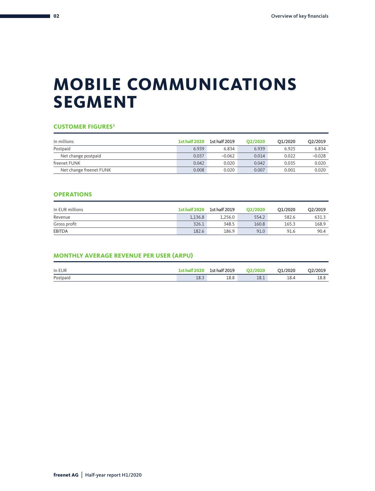## **MOBILE COMMUNICATIONS SEGMENT**

#### **CUSTOMER FIGURES3**

| In millions             | <b>1st half 2020</b> | 1st half 2019 | O2/2020 | O1/2020 | O2/2019  |
|-------------------------|----------------------|---------------|---------|---------|----------|
| Postpaid                | 6.939                | 6.834         | 6.939   | 6.925   | 6.834    |
| Net change postpaid     | 0.037                | $-0.062$      | 0.014   | 0.022   | $-0.028$ |
| freenet FUNK            | 0.042                | 0.020         | 0.042   | 0.035   | 0.020    |
| Net change freenet FUNK | 0.008                | 0.020         | 0.007   | 0.001   | 0.020    |

#### **OPERATIONS**

| In EUR millions | <b>1st half 2020</b> | 1st half 2019 | O <sub>2</sub> /2020 | O1/2020 | O2/2019 |
|-----------------|----------------------|---------------|----------------------|---------|---------|
| Revenue         | 1.136.8              | 1.256.0       | 554.2                | 582.6   | 631.3   |
| Gross profit    | 326.1                | 348.5         | 160.8                | 165.3   | 168.9   |
| <b>EBITDA</b>   | 182.6                | 186.9         | 91.0                 | 91.6    | 90.4    |

#### **MONTHLY AVERAGE REVENUE PER USER (ARPU)**

| In EUR   | <b>1st half 2020</b> | 1st half 2019 | O2/2020 | O1/2020 | O2/2019 |
|----------|----------------------|---------------|---------|---------|---------|
| Postpaid | 18.3                 | 18.8          | 18.1    | 18.4    | 18.8    |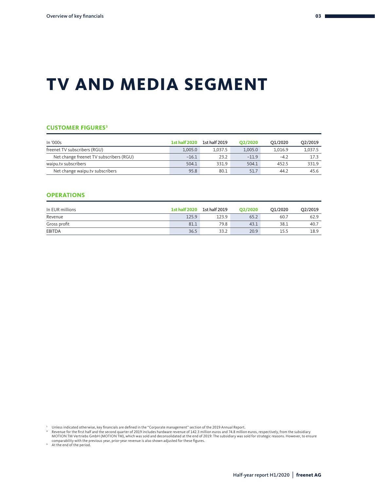## **TV AND MEDIA SEGMENT**

#### **CUSTOMER FIGURES3**

| In '000s                                | <b>1st half 2020</b> | 1st half 2019 | O2/2020 | O1/2020 | Q2/2019 |
|-----------------------------------------|----------------------|---------------|---------|---------|---------|
| freenet TV subscribers (RGU)            | 1.005.0              | 1.037.5       | 1.005.0 | 1.016.9 | 1,037.5 |
| Net change freenet TV subscribers (RGU) | $-16.1$              | 23.2          | $-11.9$ | $-4.2$  | 17.3    |
| waipu.tv subscribers                    | 504.1                | 331.9         | 504.1   | 452.5   | 331.9   |
| Net change waipu.tv subscribers         | 95.8                 | 80.1          | 51.7    | 44.2    | 45.6    |

#### **OPERATIONS**

| In EUR millions | <b>1st half 2020</b> | 1st half 2019 | O2/2020 | O1/2020 | O2/2019 |
|-----------------|----------------------|---------------|---------|---------|---------|
| Revenue         | 125.9                | 123.9         | 65.2    | 60.7    | 62.9    |
| Gross profit    | 81.1                 | 79.8          | 43.1    | 38.1    | 40.7    |
| <b>EBITDA</b>   | 36.5                 | 33.2          | 20.9    | 15.5    | 18.9    |

Unless indicated otherwise, key financials are defined in the "Corporate management" section of the 2019 Annual Report.<br>Provenue for the first half and the second quarter of 2019 includes hardware revenue of 142.3 million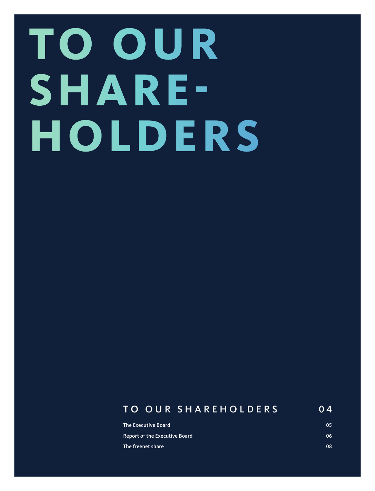# **TO OUR SHARE-HOLDERS**

### TO OUR SHAREHOLDERS 0 4

| The Executive Board                  | 05 |
|--------------------------------------|----|
| <b>Report of the Executive Board</b> | 06 |
| The freenet share                    | 08 |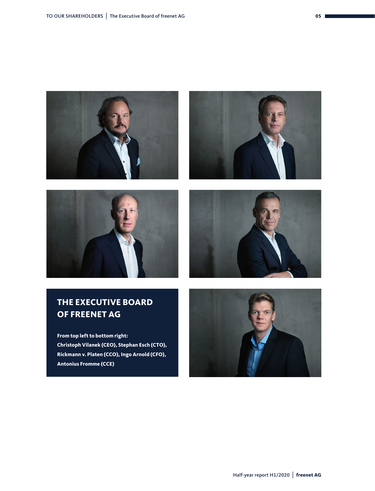







#### **THE EXECUTIVE BOARD OF FREENET AG**

**From top left to bottom right: Christoph Vilanek (CEO), Stephan Esch (CTO), Rickmann v. Platen (CCO), Ingo Arnold (CFO), Antonius Fromme (CCE)**

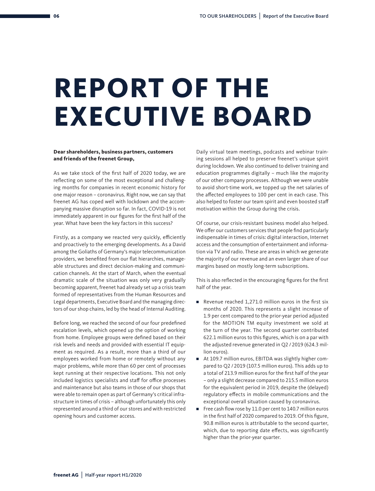# **REPORT OF THE EXECUTIVE BOARD**

#### **Dear shareholders, business partners, customers and friends of the freenet Group,**

As we take stock of the first half of 2020 today, we are reflecting on some of the most exceptional and challenging months for companies in recent economic history for one major reason – coronavirus. Right now, we can say that freenet AG has coped well with lockdown and the accompanying massive disruption so far. In fact, COVID-19 is not immediately apparent in our figures for the first half of the year. What have been the key factors in this success?

Firstly, as a company we reacted very quickly, efficiently and proactively to the emerging developments. As a David among the Goliaths of Germany's major telecommunication providers, we benefited from our flat hierarchies, manageable structures and direct decision-making and communication channels. At the start of March, when the eventual dramatic scale of the situation was only very gradually becoming apparent, freenet had already set up a crisis team formed of representatives from the Human Resources and Legal departments, Executive Board and the managing directors of our shop chains, led by the head of Internal Auditing.

Before long, we reached the second of our four predefined escalation levels, which opened up the option of working from home. Employee groups were defined based on their risk levels and needs and provided with essential IT equipment as required. As a result, more than a third of our employees worked from home or remotely without any major problems, while more than 60 per cent of processes kept running at their respective locations. This not only included logistics specialists and staff for office processes and maintenance but also teams in those of our shops that were able to remain open as part of Germany's critical infrastructure in times of crisis – although unfortunately this only represented around a third of our stores and with restricted opening hours and customer access.

Daily virtual team meetings, podcasts and webinar training sessions all helped to preserve freenet's unique spirit during lockdown. We also continued to deliver training and education programmes digitally – much like the majority of our other company processes. Although we were unable to avoid short-time work, we topped up the net salaries of the affected employees to 100 per cent in each case. This also helped to foster our team spirit and even boosted staff motivation within the Group during the crisis.

Of course, our crisis-resistant business model also helped. We offer our customers services that people find particularly indispensable in times of crisis: digital interaction, Internet access and the consumption of entertainment and information via TV and radio. These are areas in which we generate the majority of our revenue and an even larger share of our margins based on mostly long-term subscriptions.

This is also reflected in the encouraging figures for the first half of the year.

- Revenue reached 1,271.0 million euros in the first six months of 2020. This represents a slight increase of 1.9 per cent compared to the prior-year period adjusted for the MOTION TM equity investment we sold at the turn of the year. The second quarter contributed 622.1 million euros to this figures, which is on a par with the adjusted revenue generated in Q2 / 2019 (624.3 million euros).
- At 109.7 million euros, EBITDA was slightly higher compared to Q2 / 2019 (107.5 million euros). This adds up to a total of 213.9 million euros for the first half of the year – only a slight decrease compared to 215.5 million euros for the equivalent period in 2019, despite the (delayed) regulatory effects in mobile communications and the exceptional overall situation caused by coronavirus.
- Free cash flow rose by 11.0 per cent to 140.7 million euros in the first half of 2020 compared to 2019. Of this figure, 90.8 million euros is attributable to the second quarter, which, due to reporting date effects, was significantly higher than the prior-year quarter.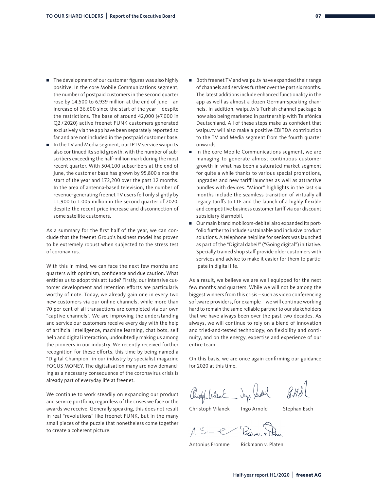- The development of our customer figures was also highly positive. In the core Mobile Communications segment, the number of postpaid customers in the second quarter rose by 14,500 to 6.939 million at the end of June – an increase of 36,600 since the start of the year – despite the restrictions. The base of around 42,000 (+7,000 in Q2 / 2020) active freenet FUNK customers generated exclusively via the app have been separately reported so far and are not included in the postpaid customer base.
- In the TV and Media segment, our IPTV service waipu.tv also continued its solid growth, with the number of subscribers exceeding the half-million mark during the most recent quarter. With 504,100 subscribers at the end of June, the customer base has grown by 95,800 since the start of the year and 172,200 over the past 12 months. In the area of antenna-based television, the number of revenue-generating freenet TV users fell only slightly by 11,900 to 1.005 million in the second quarter of 2020, despite the recent price increase and disconnection of some satellite customers.

As a summary for the first half of the year, we can conclude that the freenet Group's business model has proven to be extremely robust when subjected to the stress test of coronavirus.

With this in mind, we can face the next few months and quarters with optimism, confidence and due caution. What entitles us to adopt this attitude? Firstly, our intensive customer development and retention efforts are particularly worthy of note. Today, we already gain one in every two new customers via our online channels, while more than 70 per cent of all transactions are completed via our own "captive channels". We are improving the understanding and service our customers receive every day with the help of artificial intelligence, machine learning, chat bots, self help and digital interaction, undoubtedly making us among the pioneers in our industry. We recently received further recognition for these efforts, this time by being named a "Digital Champion" in our industry by specialist magazine FOCUS MONEY. The digitalisation many are now demanding as a necessary consequence of the coronavirus crisis is already part of everyday life at freenet.

We continue to work steadily on expanding our product and service portfolio, regardless of the crises we face or the awards we receive. Generally speaking, this does not result in real "revolutions" like freenet FUNK, but in the many small pieces of the puzzle that nonetheless come together to create a coherent picture.

- Both freenet TV and waipu.tv have expanded their range of channels and services further over the past six months. The latest additions include enhanced functionality in the app as well as almost a dozen German-speaking channels. In addition, waipu.tv's Turkish channel package is now also being marketed in partnership with Telefónica Deutschland. All of these steps make us confident that waipu.tv will also make a positive EBITDA contribution to the TV and Media segment from the fourth quarter onwards.
- In the core Mobile Communications segment, we are managing to generate almost continuous customer growth in what has been a saturated market segment for quite a while thanks to various special promotions, upgrades and new tariff launches as well as attractive bundles with devices. "Minor" highlights in the last six months include the seamless transition of virtually all legacy tariffs to LTE and the launch of a highly flexible and competitive business customer tariff via our discount subsidiary klarmobil.
- Our main brand mobilcom-debitel also expanded its portfolio further to include sustainable and inclusive product solutions. A telephone helpline for seniors was launched as part of the "Digital dabei!" ("Going digital") initiative. Specially trained shop staff provide older customers with services and advice to make it easier for them to participate in digital life.

As a result, we believe we are well equipped for the next few months and quarters. While we will not be among the biggest winners from this crisis – such as video conferencing software providers, for example – we will continue working hard to remain the same reliable partner to our stakeholders that we have always been over the past two decades. As always, we will continue to rely on a blend of innovation and tried-and-tested technology, on flexibility and continuity, and on the energy, expertise and experience of our entire team.

On this basis, we are once again confirming our guidance for 2020 at this time.

Jup Judith Chieff Vilant

Christoph Vilanek Ingo Arnold Stephan Esch

 $4 - 5 -$ 

Antonius Fromme Rickmann v. Platen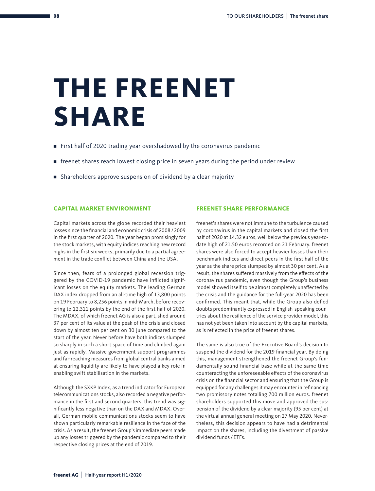# **THE FREENET SHARE**

- First half of 2020 trading year overshadowed by the coronavirus pandemic
- freenet shares reach lowest closing price in seven years during the period under review
- Shareholders approve suspension of dividend by a clear majority

#### **CAPITAL MARKET ENVIRONMENT**

Capital markets across the globe recorded their heaviest losses since the financial and economic crisis of 2008 / 2009 in the first quarter of 2020. The year began promisingly for the stock markets, with equity indices reaching new record highs in the first six weeks, primarily due to a partial agreement in the trade conflict between China and the USA.

Since then, fears of a prolonged global recession triggered by the COVID-19 pandemic have inflicted significant losses on the equity markets. The leading German DAX index dropped from an all-time high of 13,800 points on 19 February to 8,256 points in mid-March, before recovering to 12,311 points by the end of the first half of 2020. The MDAX, of which freenet AG is also a part, shed around 37 per cent of its value at the peak of the crisis and closed down by almost ten per cent on 30 June compared to the start of the year. Never before have both indices slumped so sharply in such a short space of time and climbed again just as rapidly. Massive government support programmes and far-reaching measures from global central banks aimed at ensuring liquidity are likely to have played a key role in enabling swift stabilisation in the markets.

Although the SXKP Index, as a trend indicator for European telecommunications stocks, also recorded a negative performance in the first and second quarters, this trend was significantly less negative than on the DAX and MDAX. Overall, German mobile communications stocks seem to have shown particularly remarkable resilience in the face of the crisis. As a result, the freenet Group's immediate peers made up any losses triggered by the pandemic compared to their respective closing prices at the end of 2019.

#### **FREENET SHARE PERFORMANCE**

freenet's shares were not immune to the turbulence caused by coronavirus in the capital markets and closed the first half of 2020 at 14.32 euros, well below the previous year-todate high of 21.50 euros recorded on 21 February. freenet shares were also forced to accept heavier losses than their benchmark indices and direct peers in the first half of the year as the share price slumped by almost 30 per cent. As a result, the shares suffered massively from the effects of the coronavirus pandemic, even though the Group's business model showed itself to be almost completely unaffected by the crisis and the guidance for the full-year 2020 has been confirmed. This meant that, while the Group also defied doubts predominantly expressed in English-speaking countries about the resilience of the service provider model, this has not yet been taken into account by the capital markets, as is reflected in the price of freenet shares.

The same is also true of the Executive Board's decision to suspend the dividend for the 2019 financial year. By doing this, management strengthened the freenet Group's fundamentally sound financial base while at the same time counteracting the unforeseeable effects of the coronavirus crisis on the financial sector and ensuring that the Group is equipped for any challenges it may encounter in refinancing two promissory notes totalling 700 million euros. freenet shareholders supported this move and approved the suspension of the dividend by a clear majority (95 per cent) at the virtual annual general meeting on 27 May 2020. Nevertheless, this decision appears to have had a detrimental impact on the shares, including the divestment of passive dividend funds / ETFs.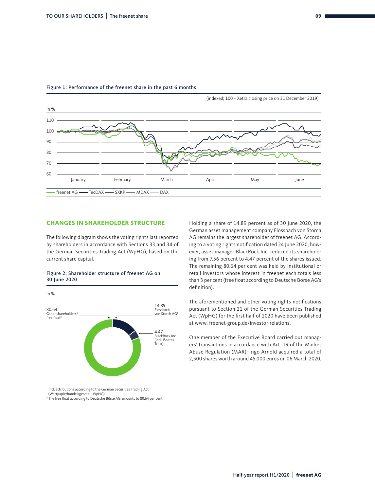

#### Figure 1: Performance of the freenet share in the past 6 months

#### **CHANGES IN SHAREHOLDER STRUCTURE**

The following diagram shows the voting rights last reported by shareholders in accordance with Sections 33 and 34 of the German Securities Trading Act (WpHG), based on the current share capital.

#### Figure 2: Shareholder structure of freenet AG on 30 June 2020



1 Incl. attributions according to the German Securities Trading Act

(Wertpapierhandelsgesetz – WpHG).

<sup>2</sup> The free float according to Deutsche Börse AG amounts to 80.64 per cent.

Holding a share of 14.89 percent as of 30 June 2020, the German asset management company Flossbach von Storch AG remains the largest shareholder of freenet AG. According to a voting rights notification dated 24 June 2020, however, asset manager BlackRock Inc. reduced its shareholding from 7.56 percent to 4.47 percent of the shares issued. The remaining 80.64 per cent was held by institutional or retail investors whose interest in freenet each totals less than 3 per cent (free float according to Deutsche Börse AG's definition).

The aforementioned and other voting rights notifications pursuant to Section 21 of the German Securities Trading Act (WpHG) for the first half of 2020 have been published at www. freenet-group.de/investor-relations.

One member of the Executive Board carried out managers' transactions in accordance with Art. 19 of the Market Abuse Regulation (MAR): Ingo Arnold acquired a total of 2,500 shares worth around 45,000 euros on 06 March 2020.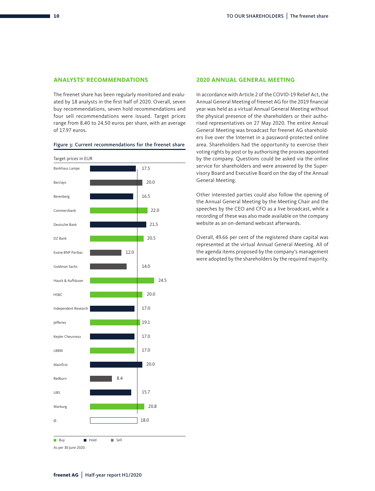#### **ANALYSTS' RECOMMENDATIONS**

The freenet share has been regularly monitored and evaluated by 18 analysts in the first half of 2020. Overall, seven buy recommendations, seven hold recommendations and four sell recommendations were issued. Target prices range from 8.40 to 24.50 euros per share, with an average of 17.97 euros.



#### Figure 3: Current recommendations for the freenet share

#### **2020 ANNUAL GENERAL MEETING**

In accordance with Article 2 of the COVID-19 Relief Act, the Annual General Meeting of freenet AG for the 2019 financial year was held as a virtual Annual General Meeting without the physical presence of the shareholders or their authorised representatives on 27 May 2020. The entire Annual General Meeting was broadcast for freenet AG shareholders live over the Internet in a password-protected online area. Shareholders had the opportunity to exercise their voting rights by post or by authorising the proxies appointed by the company. Questions could be asked via the online service for shareholders and were answered by the Supervisory Board and Executive Board on the day of the Annual General Meeting.

Other interested parties could also follow the opening of the Annual General Meeting by the Meeting Chair and the speeches by the CEO and CFO as a live broadcast, while a recording of these was also made available on the company website as an on-demand webcast afterwards.

Overall, 49.66 per cent of the registered share capital was represented at the virtual Annual General Meeting. All of the agenda items proposed by the company's management were adopted by the shareholders by the required majority.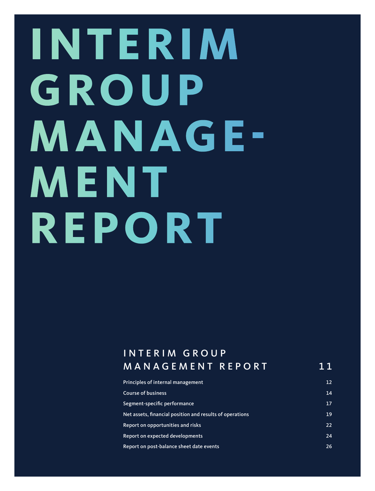# **INTERIM G ROUP MANAGE-M ENT REPORT**

### I N T E R I M G R O U P MANAGEMENT REPORT 11

| Principles of internal management                        | 12 |
|----------------------------------------------------------|----|
| <b>Course of business</b>                                | 14 |
| Segment-specific performance                             | 17 |
| Net assets, financial position and results of operations | 19 |
| Report on opportunities and risks                        | 22 |
| Report on expected developments                          | 24 |
| Report on post-balance sheet date events                 | 26 |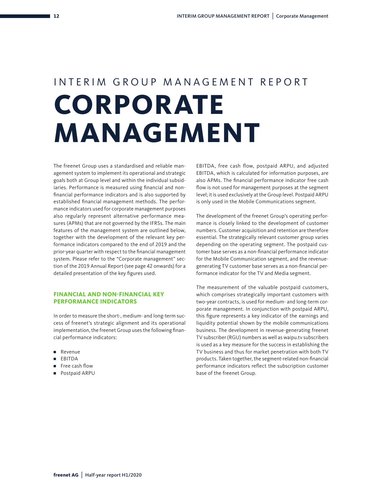# INTERIM GROUP MANAGEMENT REPORT **CORPORATE MANAGEMENT**

The freenet Group uses a standardised and reliable management system to implement its operational and strategic goals both at Group level and within the individual subsidiaries. Performance is measured using financial and nonfinancial performance indicators and is also supported by established financial management methods. The performance indicators used for corporate management purposes also regularly represent alternative performance measures (APMs) that are not governed by the IFRSs. The main features of the management system are outlined below, together with the development of the relevant key performance indicators compared to the end of 2019 and the prior-year quarter with respect to the financial management system. Please refer to the "Corporate management" section of the 2019 Annual Report (see page 42 onwards) for a detailed presentation of the key figures used.

#### **FINANCIAL AND NON-FINANCIAL KEY PERFORMANCE INDICATORS**

In order to measure the short-, medium- and long-term success of freenet's strategic alignment and its operational implementation, the freenet Group uses the following financial performance indicators:

- Revenue
- EBITDA
- Free cash flow
- Postpaid ARPU

EBITDA, free cash flow, postpaid ARPU, and adjusted EBITDA, which is calculated for information purposes, are also APMs. The financial performance indicator free cash flow is not used for management purposes at the segment level; it is used exclusively at the Group level. Postpaid ARPU is only used in the Mobile Communications segment.

The development of the freenet Group's operating performance is closely linked to the development of customer numbers. Customer acquisition and retention are therefore essential. The strategically relevant customer group varies depending on the operating segment. The postpaid customer base serves as a non-financial performance indicator for the Mobile Communication segment, and the revenuegenerating TV customer base serves as a non-financial performance indicator for the TV and Media segment.

The measurement of the valuable postpaid customers, which comprises strategically important customers with two-year contracts, is used for medium- and long-term corporate management. In conjunction with postpaid ARPU, this figure represents a key indicator of the earnings and liquidity potential shown by the mobile communications business. The development in revenue-generating freenet TV subscriber (RGU) numbers as well as waipu.tv subscribers is used as a key measure for the success in establishing the TV business and thus for market penetration with both TV products. Taken together, the segment-related non-financial performance indicators reflect the subscription customer base of the freenet Group.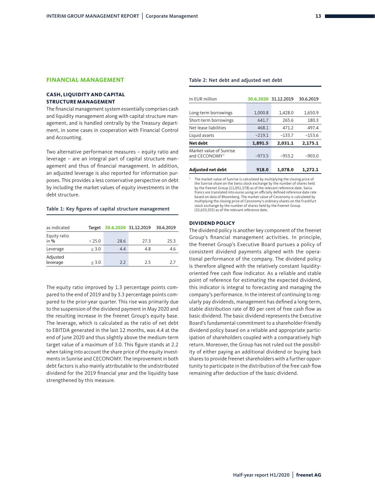#### **FINANCIAL MANAGEMENT**

#### **CASH, LIQUIDITY AND CAPITAL STRUCTURE MANAGEMENT**

The financial management system essentially comprises cash and liquidity management along with capital structure management, and is handled centrally by the Treasury department, in some cases in cooperation with Financial Control and Accounting.

Two alternative performance measures – equity ratio and leverage – are an integral part of capital structure management and thus of financial management. In addition, an adjusted leverage is also reported for information purposes. This provides a less conservative perspective on debt by including the market values of equity investments in the debt structure.

#### Table 1: Key figures of capital structure management

| as indicated           | Target |      | 30.6.2020 31.12.2019 | 30.6.2019 |
|------------------------|--------|------|----------------------|-----------|
| Equity ratio<br>in $%$ | > 25.0 | 28.6 | 27.3                 | 25.3      |
| Leverage               | < 3.0  | 4.4  | 4.8                  | 4.6       |
| Adjusted<br>leverage   | < 3.0  | 2.2  | 2.5                  | 2.7       |

The equity ratio improved by 1.3 percentage points compared to the end of 2019 and by 3.3 percentage points compared to the prior-year quarter. This rise was primarily due to the suspension of the dividend payment in May 2020 and the resulting increase in the freenet Group's equity base. The leverage, which is calculated as the ratio of net debt to EBITDA generated in the last 12 months, was 4.4 at the end of June 2020 and thus slightly above the medium-term target value of a maximum of 3.0. This figure stands at 2.2 when taking into account the share price of the equity investments in Sunrise and CECONOMY. The improvement in both debt factors is also mainly attributable to the undistributed dividend for the 2019 financial year and the liquidity base strengthened by this measure.

#### Table 2: Net debt and adjusted net debt

| In EUR million                                       |          | 30.6.2020 31.12.2019 | 30.6.2019 |
|------------------------------------------------------|----------|----------------------|-----------|
|                                                      |          |                      |           |
| Long-term borrowings                                 | 1,000.8  | 1,428.0              | 1,650.9   |
| Short-term borrowings                                | 641.7    | 265.6                | 180.3     |
| Net lease liabilities                                | 468.1    | 471.2                | 497.4     |
| Liquid assets                                        | $-219.1$ | $-133.7$             | $-153.6$  |
| Net debt                                             | 1.891.5  | 2,031.1              | 2.175.1   |
| Market value of Sunrise<br>and CECONOMY <sup>1</sup> | $-973.5$ | $-953.2$             | $-903.0$  |
| Adjusted net debt                                    | 918.0    | 1,078.0              | 1.272.1   |

The market value of Sunrise is calculated by multiplying the closing price of the Sunrise share on the Swiss stock exchange by the number of shares held by the freenet Group (11,051,578) as of the relevant reference date. Swiss francs are translated into euros using an officially defined reference date rate based on data of Bloomberg. The market value of Ceconomy is calculated by multiplying the closing price of Ceconomy's ordinary shares on the Frankfurt stock exchange by the number of shares held by the freenet Group (32,633,555) as of the relevant reference date.

#### **DIVIDEND POLICY**

The dividend policy is another key component of the freenet Group's financial management activities. In principle, the freenet Group's Executive Board pursues a policy of consistent dividend payments aligned with the operational performance of the company. The dividend policy is therefore aligned with the relatively constant liquidityoriented free cash flow indicator. As a reliable and stable point of reference for estimating the expected dividend, this indicator is integral to forecasting and managing the company's performance. In the interest of continuing to regularly pay dividends, management has defined a long-term, stable distribution rate of 80 per cent of free cash flow as basic dividend. The basic dividend represents the Executive Board's fundamental commitment to a shareholder-friendly dividend policy based on a reliable and appropriate participation of shareholders coupled with a comparatively high return. Moreover, the Group has not ruled out the possibility of either paying an additional dividend or buying back shares to provide freenet shareholders with a further opportunity to participate in the distribution of the free cash flow remaining after deduction of the basic dividend.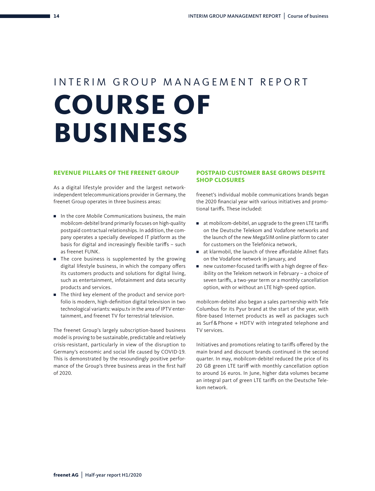# INTERIM GROUP MANAGEMENT REPORT **COURSE OF BUSINESS**

#### **REVENUE PILLARS OF THE FREENET GROUP**

As a digital lifestyle provider and the largest networkindependent telecommunications provider in Germany, the freenet Group operates in three business areas:

- In the core Mobile Communications business, the main mobilcom-debitel brand primarily focuses on high-quality postpaid contractual relationships. In addition, the company operates a specially developed IT platform as the basis for digital and increasingly flexible tariffs – such as freenet FUNK.
- The core business is supplemented by the growing digital lifestyle business, in which the company offers its customers products and solutions for digital living, such as entertainment, infotainment and data security products and services.
- The third key element of the product and service portfolio is modern, high-definition digital television in two technological variants: waipu.tv in the area of IPTV entertainment, and freenet TV for terrestrial television.

The freenet Group's largely subscription-based business model is proving to be sustainable, predictable and relatively crisis-resistant, particularly in view of the disruption to Germany's economic and social life caused by COVID-19. This is demonstrated by the resoundingly positive performance of the Group's three business areas in the first half of 2020.

#### **POSTPAID CUSTOMER BASE GROWS DESPITE SHOP CLOSURES**

freenet's individual mobile communications brands began the 2020 financial year with various initiatives and promotional tariffs. These included:

- at mobilcom-debitel, an upgrade to the green LTE tariffs on the Deutsche Telekom and Vodafone networks and the launch of the new MegaSIM online platform to cater for customers on the Telefónica network,
- at klarmobil, the launch of three affordable Allnet flats on the Vodafone network in January, and
- new customer-focused tariffs with a high degree of flexibility on the Telekom network in February – a choice of seven tariffs, a two-year term or a monthly cancellation option, with or without an LTE high-speed option.

mobilcom-debitel also began a sales partnership with Tele Columbus for its Pyur brand at the start of the year, with fibre-based Internet products as well as packages such as Surf & Phone + HDTV with integrated telephone and TV services.

Initiatives and promotions relating to tariffs offered by the main brand and discount brands continued in the second quarter. In may, mobilcom-debitel reduced the price of its 20 GB green LTE tariff with monthly cancellation option to around 16 euros. In June, higher data volumes became an integral part of green LTE tariffs on the Deutsche Telekom network.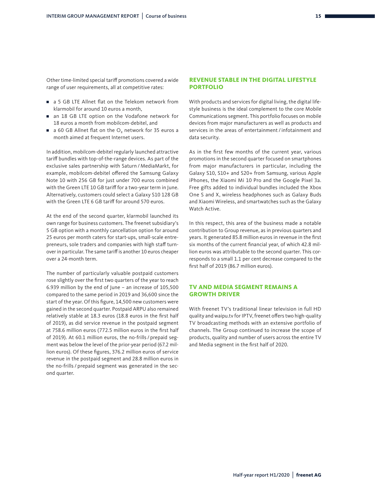Other time-limited special tariff promotions covered a wide range of user requirements, all at competitive rates:

- a 5 GB LTE Allnet flat on the Telekom network from klarmobil for around 10 euros a month,
- an 18 GB LTE option on the Vodafone network for 18 euros a month from mobilcom-debitel, and
- a 60 GB Allnet flat on the O<sub>2</sub> network for 35 euros a month aimed at frequent Internet users.

In addition, mobilcom-debitel regularly launched attractive tariff bundles with top-of-the-range devices. As part of the exclusive sales partnership with Saturn / MediaMarkt, for example, mobilcom-debitel offered the Samsung Galaxy Note 10 with 256 GB for just under 700 euros combined with the Green LTE 10 GB tariff for a two-year term in June. Alternatively, customers could select a Galaxy S10 128 GB with the Green LTE 6 GB tariff for around 570 euros.

At the end of the second quarter, klarmobil launched its own range for business customers. The freenet subsidiary's 5 GB option with a monthly cancellation option for around 25 euros per month caters for start-ups, small-scale entrepreneurs, sole traders and companies with high staff turnover in particular. The same tariff is another 10 euros cheaper over a 24-month term.

The number of particularly valuable postpaid customers rose slightly over the first two quarters of the year to reach 6.939 million by the end of June – an increase of 105,500 compared to the same period in 2019 and 36,600 since the start of the year. Of this figure, 14,500 new customers were gained in the second quarter. Postpaid ARPU also remained relatively stable at 18.3 euros (18.8 euros in the first half of 2019), as did service revenue in the postpaid segment at 758.6 million euros (772.5 million euros in the first half of 2019). At 60.1 million euros, the no-frills / prepaid segment was below the level of the prior-year period (67.2 million euros). Of these figures, 376.2 million euros of service revenue in the postpaid segment and 28.8 million euros in the no-frills / prepaid segment was generated in the second quarter.

#### **REVENUE STABLE IN THE DIGITAL LIFESTYLE PORTFOLIO**

With products and services for digital living, the digital lifestyle business is the ideal complement to the core Mobile Communications segment. This portfolio focuses on mobile devices from major manufacturers as well as products and services in the areas of entertainment / infotainment and data security.

As in the first few months of the current year, various promotions in the second quarter focused on smartphones from major manufacturers in particular, including the Galaxy S10, S10+ and S20+ from Samsung, various Apple iPhones, the Xiaomi Mi 10 Pro and the Google Pixel 3a. Free gifts added to individual bundles included the Xbox One S and X, wireless headphones such as Galaxy Buds and Xiaomi Wireless, and smartwatches such as the Galaxy Watch Active.

In this respect, this area of the business made a notable contribution to Group revenue, as in previous quarters and years. It generated 85.8 million euros in revenue in the first six months of the current financial year, of which 42.8 million euros was attributable to the second quarter. This corresponds to a small 1.1 per cent decrease compared to the first half of 2019 (86.7 million euros).

#### **TV AND MEDIA SEGMENT REMAINS A GROWTH DRIVER**

With freenet TV's traditional linear television in full HD quality and waipu.tv for IPTV, freenet offers two high-quality TV broadcasting methods with an extensive portfolio of channels. The Group continued to increase the scope of products, quality and number of users across the entire TV and Media segment in the first half of 2020.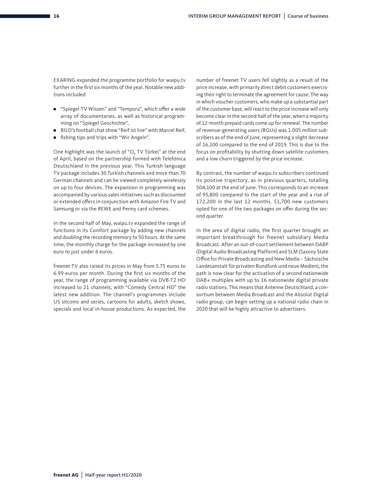EXARING expanded the programme portfolio for waipu.tv further in the first six months of the year. Notable new additions included

- "Spiegel TV Wissen" and "Tempora", which offer a wide array of documentaries, as well as historical programming on "Spiegel Geschichte",
- BILD's football chat show "Reif ist live" with Marcel Reif,
- fishing tips and trips with "Wir Angeln".

One highlight was the launch of "O<sub>2</sub> TV Türkei" at the end of April, based on the partnership formed with Telefónica Deutschland in the previous year. This Turkish-language TV package includes 30 Turkish channels and more than 70 German channels and can be viewed completely wirelessly on up to four devices. The expansion in programming was accompanied by various sales initiatives such as discounted or extended offers in conjunction with Amazon Fire TV and Samsung or via the REWE and Penny card schemes.

In the second half of May, waipu.tv expanded the range of functions in its Comfort package by adding new channels and doubling the recording memory to 50 hours. At the same time, the monthly charge for the package increased by one euro to just under 6 euros.

freenet TV also raised its prices in May from 5.75 euros to 6.99 euros per month. During the first six months of the year, the range of programming available via DVB-T2 HD increased to 21 channels, with "Comedy Central HD" the latest new addition. The channel's programmes include US sitcoms and series, cartoons for adults, sketch shows, specials and local in-house productions. As expected, the number of freenet TV users fell slightly as a result of the price increase, with primarily direct debit customers exercising their right to terminate the agreement for cause. The way in which voucher customers, who make up a substantial part of the customer base, will react to the price increase will only become clear in the second half of the year, when a majority of 12-month prepaid cards come up for renewal. The number of revenue-generating users (RGUs) was 1.005 million subscribers as of the end of June, representing a slight decrease of 16,100 compared to the end of 2019. This is due to the focus on profitability by shutting down satellite customers and a low churn triggered by the price increase.

By contrast, the number of waipu.tv subscribers continued its positive trajectory, as in previous quarters, totalling 504,100 at the end of June. This corresponds to an increase of 95,800 compared to the start of the year and a rise of 172,200 in the last 12 months. 51,700 new customers opted for one of the two packages on offer during the second quarter.

In the area of digital radio, the first quarter brought an important breakthrough for freenet subsidiary Media Broadcast. After an out-of-court settlement between DABP (Digital Audio Broadcasting Platform) and SLM (Saxony State Office for Private Broadcasting and New Media – Sächsische Landesanstalt für privaten Rundfunk und neue Medien), the path is now clear for the activation of a second nationwide DAB+ multiplex with up to 16 nationwide digital private radio stations. This means that Antenne Deutschland, a consortium between Media Broadcast and the Absolut Digital radio group, can begin setting up a national radio chain in 2020 that will be highly attractive to advertisers.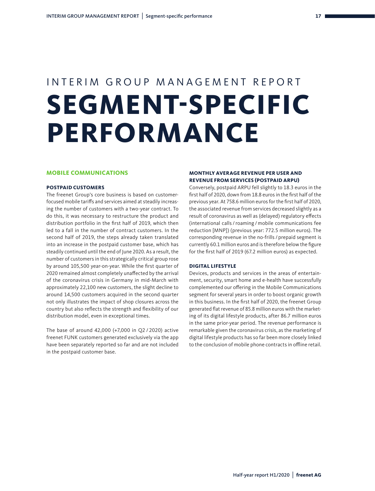# INTERIM GROUP MANAGEMENT REPORT **SEGMENT-SPECIFIC PERFORMANCE**

#### **MOBILE COMMUNICATIONS**

#### **POSTPAID CUSTOMERS**

The freenet Group's core business is based on customerfocused mobile tariffs and services aimed at steadily increasing the number of customers with a two-year contract. To do this, it was necessary to restructure the product and distribution portfolio in the first half of 2019, which then led to a fall in the number of contract customers. In the second half of 2019, the steps already taken translated into an increase in the postpaid customer base, which has steadily continued until the end of June 2020. As a result, the number of customers in this strategically critical group rose by around 105,500 year-on-year. While the first quarter of 2020 remained almost completely unaffected by the arrival of the coronavirus crisis in Germany in mid-March with approximately 22,100 new customers, the slight decline to around 14,500 customers acquired in the second quarter not only illustrates the impact of shop closures across the country but also reflects the strength and flexibility of our distribution model, even in exceptional times.

The base of around 42,000 (+7,000 in Q2 / 2020) active freenet FUNK customers generated exclusively via the app have been separately reported so far and are not included in the postpaid customer base.

#### **MONTHLY AVERAGE REVENUE PER USER AND REVENUE FROM SERVICES (POSTPAID ARPU)**

Conversely, postpaid ARPU fell slightly to 18.3 euros in the first half of 2020, down from 18.8 euros in the first half of the previous year. At 758.6 million euros for the first half of 2020, the associated revenue from services decreased slightly as a result of coronavirus as well as (delayed) regulatory effects (international calls / roaming /mobile communications fee reduction [MNP]) (previous year: 772.5 million euros). The corresponding revenue in the no-frills / prepaid segment is currently 60.1 million euros and is therefore below the figure for the first half of 2019 (67.2 million euros) as expected.

#### **DIGITAL LIFESTYLE**

Devices, products and services in the areas of entertainment, security, smart home and e-health have successfully complemented our offering in the Mobile Communications segment for several years in order to boost organic growth in this business. In the first half of 2020, the freenet Group generated flat revenue of 85.8 million euros with the marketing of its digital lifestyle products, after 86.7 million euros in the same prior-year period. The revenue performance is remarkable given the coronavirus crisis, as the marketing of digital lifestyle products has so far been more closely linked to the conclusion of mobile phone contracts in offline retail.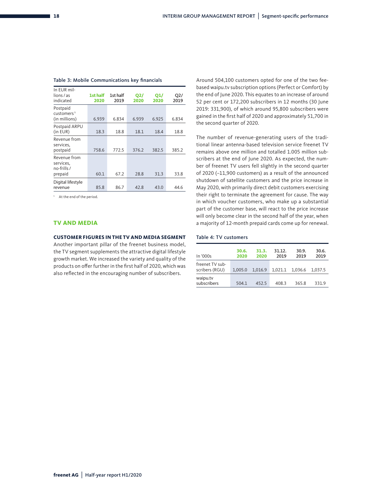| In EUR mil-<br>lions / as<br>indicated              | 1st half<br>2020 | 1st half<br>2019 | <b>Q2/</b><br>2020 | <b>O1/</b><br>2020 | O2/<br>2019 |
|-----------------------------------------------------|------------------|------------------|--------------------|--------------------|-------------|
| Postpaid<br>customers <sup>1</sup><br>(in millions) | 6.939            | 6.834            | 6.939              | 6.925              | 6.834       |
| Postpaid ARPU<br>(in EUR)                           | 18.3             | 18.8             | 18.1               | 18.4               | 18.8        |
| Revenue from<br>services,<br>postpaid               | 758.6            | 772.5            | 376.2              | 382.5              | 385.2       |
| Revenue from<br>services,<br>no-frills /<br>prepaid | 60.1             | 67.2             | 28.8               | 31.3               | 33.8        |
| Digital lifestyle<br>revenue                        | 85.8             | 86.7             | 42.8               | 43.0               | 44.6        |

#### Table 3: Mobile Communications key financials

1 At the end of the period.

#### **TV AND MEDIA**

#### **CUSTOMER FIGURES IN THE TV AND MEDIA SEGMENT**

Another important pillar of the freenet business model, the TV segment supplements the attractive digital lifestyle growth market. We increased the variety and quality of the products on offer further in the first half of 2020, which was also reflected in the encouraging number of subscribers.

Around 504,100 customers opted for one of the two feebased waipu.tv subscription options (Perfect or Comfort) by the end of June 2020. This equates to an increase of around 52 per cent or 172,200 subscribers in 12 months (30 June 2019: 331,900), of which around 95,800 subscribers were gained in the first half of 2020 and approximately 51,700 in the second quarter of 2020.

The number of revenue-generating users of the traditional linear antenna-based television service freenet TV remains above one million and totalled 1.005 million subscribers at the end of June 2020. As expected, the number of freenet TV users fell slightly in the second quarter of 2020 (–11,900 customers) as a result of the announced shutdown of satellite customers and the price increase in May 2020, with primarily direct debit customers exercising their right to terminate the agreement for cause. The way in which voucher customers, who make up a substantial part of the customer base, will react to the price increase will only become clear in the second half of the year, when a majority of 12-month prepaid cards come up for renewal.

#### Table 4: TV customers

| In $'000s$                        | 30.6.<br>2020 | 31.3.<br>2020 | 31.12.<br>2019 | 30.9.<br>2019 | 30.6.<br>2019 |
|-----------------------------------|---------------|---------------|----------------|---------------|---------------|
| freenet TV sub-<br>scribers (RGU) | 1.005.0       | 1.016.9       | 1.021.1        | 1,036.6       | 1.037.5       |
| waipu.tv<br>subscribers           | 504.1         | 452.5         | 408.3          | 365.8         | 331.9         |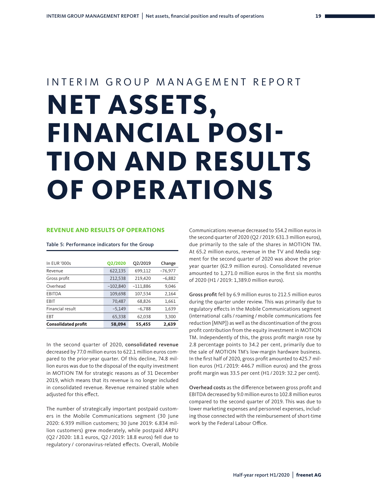# INTERIM GROUP MANAGEMENT REPORT **NET ASSETS, FINANCIAL POSI-TION AND RESULTS OF OPERATIONS**

#### **REVENUE AND RESULTS OF OPERATIONS**

Table 5: Performance indicators for the Group

| In EUR '000s               | <b>Q2/2020</b> | Q2/2019    | Change    |
|----------------------------|----------------|------------|-----------|
| Revenue                    | 622,135        | 699,112    | $-76,977$ |
| Gross profit               | 212,538        | 219,420    | $-6,882$  |
| Overhead                   | $-102,840$     | $-111,886$ | 9,046     |
| EBITDA                     | 109,698        | 107,534    | 2,164     |
| EBIT                       | 70,487         | 68,826     | 1,661     |
| Financial result           | $-5,149$       | $-6,788$   | 1,639     |
| EBT                        | 65,338         | 62,038     | 3,300     |
| <b>Consolidated profit</b> | 58,094         | 55,455     | 2,639     |
|                            |                |            |           |

In the second quarter of 2020, consolidated revenue decreased by 77.0 million euros to 622.1 million euros compared to the prior-year quarter. Of this decline, 74.8 million euros was due to the disposal of the equity investment in MOTION TM for strategic reasons as of 31 December 2019, which means that its revenue is no longer included in consolidated revenue. Revenue remained stable when adjusted for this effect.

The number of strategically important postpaid customers in the Mobile Communications segment (30 June 2020: 6.939 million customers; 30 June 2019: 6.834 million customers) grew moderately, while postpaid ARPU (Q2 / 2020: 18.1 euros, Q2 / 2019: 18.8 euros) fell due to regulatory / coronavirus-related effects. Overall, Mobile

Communications revenue decreased to 554.2 million euros in the second quarter of 2020 (Q2 / 2019: 631.3 million euros), due primarily to the sale of the shares in MOTION TM. At 65.2 million euros, revenue in the TV and Media segment for the second quarter of 2020 was above the prioryear quarter (62.9 million euros). Consolidated revenue amounted to 1,271.0 million euros in the first six months of 2020 (H1 / 2019: 1,389.0 million euros).

Gross profit fell by 6.9 million euros to 212.5 million euros during the quarter under review. This was primarily due to regulatory effects in the Mobile Communications segment (international calls / roaming /mobile communications fee reduction [MNP]) as well as the discontinuation of the gross profit contribution from the equity investment in MOTION TM. Independently of this, the gross profit margin rose by 2.8 percentage points to 34.2 per cent, primarily due to the sale of MOTION TM's low-margin hardware business. In the first half of 2020, gross profit amounted to 425.7 million euros (H1 / 2019: 446.7 million euros) and the gross profit margin was 33.5 per cent (H1 / 2019: 32.2 per cent).

Overhead costs as the difference between gross profit and EBITDA decreased by 9.0 million euros to 102.8 million euros compared to the second quarter of 2019. This was due to lower marketing expenses and personnel expenses, including those connected with the reimbursement of short-time work by the Federal Labour Office.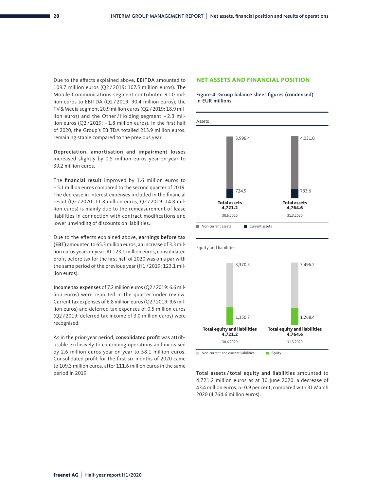Due to the effects explained above, EBITDA amounted to 109.7 million euros (Q2 / 2019: 107.5 million euros). The Mobile Communications segment contributed 91.0 million euros to EBITDA (Q2 / 2019: 90.4 million euros), the TV&Media segment 20.9 million euros (Q2 / 2019: 18.9 million euros) and the Other / Holding segment - 2.3 million euros (Q2 / 2019: – 1.8 million euros). In the first half of 2020, the Group's EBITDA totalled 213.9 million euros, 5000 remaining stable compared to the previous year.

Depreciation, amortisation and impairment losses increased slightly by 0.5 million euros year-on-year to 39.2 million euros.

The financial result improved by 1.6 million euros to – 5.1 million euros compared to the second quarter of 2019. The decrease in interest expenses included in the financial result (Q2 / 2020: 11.8 million euros, Q2 / 2019: 14.8 million euros) is mainly due to the remeasurement of lease liabilities in connection with contract modifications and lower unwinding of discounts on liabilities.

Due to the effects explained above, earnings before tax (EBT) amounted to 65.3 million euros, an increase of 3.3 million euros year-on-year. At 123.1 million euros, consolidated profit before tax for the first half of 2020 was on a par with the same period of the previous year (H1 / 2019: 123.1 million euros).

Income tax expenses of 7.2 million euros (Q2 / 2019: 6.6 million euros) were reported in the quarter under review. Current tax expenses of 6.8 million euros (Q2 / 2019: 9.6 million euros) and deferred tax expenses of 0.5 million euros (Q2 / 2019: deferred tax income of 3.0 million euros) were recognised.

As in the prior-year period, consolidated profit was attributable exclusively to continuing operations and increased by 2.6 million euros year-on-year to 58.1 million euros. Consolidated profit for the first six months of 2020 came to 109.3 million euros, after 111.6 million euros in the same period in 2019.

#### **NET ASSETS AND FINANCIAL POSITION**





Total assets / total equity and liabilities amounted to 4,721.2 million euros as at 30 June 2020, a decrease of 43.4 million euros, or 0.9 per cent, compared with 31 March 2020 (4,764.6 million euros).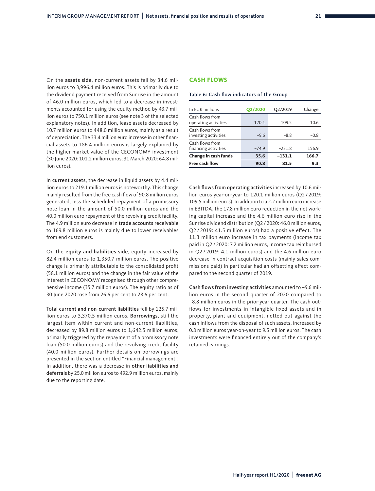On the assets side, non-current assets fell by 34.6 million euros to 3,996.4 million euros. This is primarily due to the dividend payment received from Sunrise in the amount of 46.0 million euros, which led to a decrease in investments accounted for using the equity method by 43.7 million euros to 750.1 million euros (see note 3 of the selected explanatory notes). In addition, lease assets decreased by 10.7 million euros to 448.0 million euros, mainly as a result of depreciation. The 33.4 million euro increase in other financial assets to 186.4 million euros is largely explained by the higher market value of the CECONOMY investment (30 June 2020: 101.2 million euros; 31 March 2020: 64.8 million euros).

In current assets, the decrease in liquid assets by 4.4 million euros to 219.1 million euros is noteworthy. This change mainly resulted from the free cash flow of 90.8 million euros generated, less the scheduled repayment of a promissory note loan in the amount of 50.0 million euros and the 40.0 million euro repayment of the revolving credit facility. The 4.9 million euro decrease in trade accounts receivable to 169.8 million euros is mainly due to lower receivables from end customers.

On the equity and liabilities side, equity increased by 82.4 million euros to 1,350.7 million euros. The positive change is primarily attributable to the consolidated profit (58.1 million euros) and the change in the fair value of the interest in CECONOMY recognised through other comprehensive income (35.7 million euros). The equity ratio as of 30 June 2020 rose from 26.6 per cent to 28.6 per cent.

Total current and non-current liabilities fell by 125.7 million euros to 3,370.5 million euros. Borrowings, still the largest item within current and non-current liabilities, decreased by 89.8 million euros to 1,642.5 million euros, primarily triggered by the repayment of a promissory note loan (50.0 million euros) and the revolving credit facility (40.0 million euros). Further details on borrowings are presented in the section entitled "Financial management". In addition, there was a decrease in other liabilities and deferrals by 25.0 million euros to 492.9 million euros, mainly due to the reporting date.

#### **CASH FLOWS**

#### Table 6: Cash flow indicators of the Group

| In EUR millions                         | <b>Q2/2020</b> | Q2/2019  | Change |
|-----------------------------------------|----------------|----------|--------|
| Cash flows from<br>operating activities | 120.1          | 109.5    | 10.6   |
| Cash flows from<br>investing activities | $-9.6$         | $-8.8$   | $-0.8$ |
| Cash flows from<br>financing activities | $-74.9$        | $-231.8$ | 156.9  |
| <b>Change in cash funds</b>             | 35.6           | $-131.1$ | 166.7  |
| Free cash flow                          | 90.8           | 81.5     | 9.3    |

Cash flows from operating activities increased by 10.6 million euros year-on-year to 120.1 million euros (Q2 / 2019: 109.5 million euros). In addition to a 2.2 million euro increase in EBITDA, the 17.8 million euro reduction in the net working capital increase and the 4.6 million euro rise in the Sunrise dividend distribution (Q2 / 2020: 46.0 million euros, Q2 / 2019: 41.5 million euros) had a positive effect. The 11.3 million euro increase in tax payments (income tax paid in Q2 / 2020: 7.2 million euros, income tax reimbursed in Q2 / 2019: 4.1 million euros) and the 4.6 million euro decrease in contract acquisition costs (mainly sales commissions paid) in particular had an offsetting effect compared to the second quarter of 2019.

Cash flows from investing activities amounted to –9.6 million euros in the second quarter of 2020 compared to –8.8 million euros in the prior-year quarter. The cash outflows for investments in intangible fixed assets and in property, plant and equipment, netted out against the cash inflows from the disposal of such assets, increased by 0.8 million euros year-on-year to 9.5 million euros. The cash investments were financed entirely out of the company's retained earnings.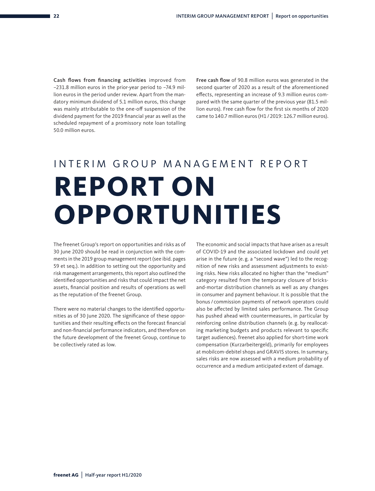Cash flows from financing activities improved from –231.8 million euros in the prior-year period to –74.9 million euros in the period under review. Apart from the mandatory minimum dividend of 5.1 million euros, this change was mainly attributable to the one-off suspension of the dividend payment for the 2019 financial year as well as the scheduled repayment of a promissory note loan totalling 50.0 million euros.

Free cash flow of 90.8 million euros was generated in the second quarter of 2020 as a result of the aforementioned effects, representing an increase of 9.3 million euros compared with the same quarter of the previous year (81.5 million euros). Free cash flow for the first six months of 2020 came to 140.7 million euros (H1 / 2019: 126.7 million euros).

# INTERIM GROUP MANAGEMENT REPORT **REPORT ON OPPORTUNITIES**

The freenet Group's report on opportunities and risks as of 30 June 2020 should be read in conjunction with the comments in the 2019 group management report (see ibid. pages 59 et seq.). In addition to setting out the opportunity and risk management arrangements, this report also outlined the identified opportunities and risks that could impact the net assets, financial position and results of operations as well as the reputation of the freenet Group.

There were no material changes to the identified opportunities as of 30 June 2020. The significance of these opportunities and their resulting effects on the forecast financial and non-financial performance indicators, and therefore on the future development of the freenet Group, continue to be collectively rated as low.

The economic and social impacts that have arisen as a result of COVID-19 and the associated lockdown and could yet arise in the future (e. g. a "second wave") led to the recognition of new risks and assessment adjustments to existing risks. New risks allocated no higher than the "medium" category resulted from the temporary closure of bricksand-mortar distribution channels as well as any changes in consumer and payment behaviour. It is possible that the bonus / commission payments of network operators could also be affected by limited sales performance. The Group has pushed ahead with countermeasures, in particular by reinforcing online distribution channels (e. g. by reallocating marketing budgets and products relevant to specific target audiences). freenet also applied for short-time work compensation (Kurzarbeitergeld), primarily for employees at mobilcom-debitel shops and GRAVIS stores. In summary, sales risks are now assessed with a medium probability of occurrence and a medium anticipated extent of damage.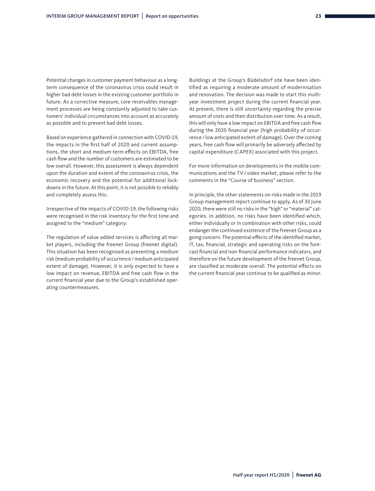Potential changes in customer payment behaviour as a longterm consequence of the coronavirus crisis could result in higher bad debt losses in the existing customer portfolio in future. As a corrective measure, core receivables management processes are being constantly adjusted to take customers' individual circumstances into account as accurately as possible and to prevent bad debt losses.

Based on experience gathered in connection with COVID-19, the impacts in the first half of 2020 and current assumptions, the short and medium-term effects on EBITDA, free cash flow and the number of customers are estimated to be low overall. However, this assessment is always dependent upon the duration and extent of the coronavirus crisis, the economic recovery and the potential for additional lockdowns in the future. At this point, it is not possible to reliably and completely assess this.

Irrespective of the impacts of COVID-19, the following risks were recognised in the risk inventory for the first time and assigned to the "medium" category:

The regulation of value added services is affecting all market players, including the freenet Group (freenet digital). This situation has been recognised as presenting a medium risk (medium probability of occurrence / medium anticipated extent of damage). However, it is only expected to have a low impact on revenue, EBITDA and free cash flow in the current financial year due to the Group's established operating countermeasures.

Buildings at the Group's Büdelsdorf site have been identified as requiring a moderate amount of modernisation and renovation. The decision was made to start this multiyear investment project during the current financial year. At present, there is still uncertainty regarding the precise amount of costs and their distribution over time. As a result, this will only have a low impact on EBITDA and free cash flow during the 2020 financial year (high probability of occurrence / low anticipated extent of damage). Over the coming years, free cash flow will primarily be adversely affected by capital expenditure (CAPEX) associated with this project.

For more information on developments in the mobile communications and the TV/ video market, please refer to the comments in the "Course of business" section.

In principle, the other statements on risks made in the 2019 Group management report continue to apply. As of 30 June 2020, there were still no risks in the "high" or "material" categories. In addition, no risks have been identified which, either individually or in combination with other risks, could endanger the continued existence of the freenet Group as a going concern. The potential effects of the identified market, IT, tax, financial, strategic and operating risks on the forecast financial and non-financial performance indicators, and therefore on the future development of the freenet Group, are classified as moderate overall. The potential effects on the current financial year continue to be qualified as minor.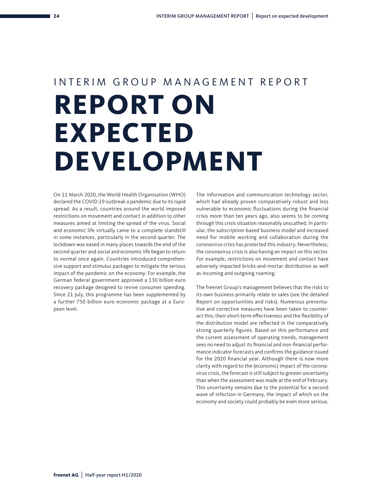# INTERIM GROUP MANAGEMENT REPORT **REPORT ON EXPECTED DEVELOPMENT**

On 11 March 2020, the World Health Organisation (WHO) declared the COVID-19 outbreak a pandemic due to its rapid spread. As a result, countries around the world imposed restrictions on movement and contact in addition to other measures aimed at limiting the spread of the virus. Social and economic life virtually came to a complete standstill in some instances, particularly in the second quarter. The lockdown was eased in many places towards the end of the second quarter and social and economic life began to return to normal once again. Countries introduced comprehensive support and stimulus packages to mitigate the serious impact of the pandemic on the economy. For example, the German federal government approved a 130 billion euro recovery package designed to revive consumer spending. Since 21 July, this programme has been supplemented by a further 750 billion euro economic package at a European level.

The information and communication technology sector, which had already proven comparatively robust and less vulnerable to economic fluctuations during the financial crisis more than ten years ago, also seems to be coming through this crisis situation reasonably unscathed. In particular, the subscription-based business model and increased need for mobile working and collaboration during the coronavirus crisis has protected this industry. Nevertheless, the coronavirus crisis is also having an impact on this sector. For example, restrictions on movement and contact have adversely impacted bricks-and-mortar distribution as well as incoming and outgoing roaming.

The freenet Group's management believes that the risks to its own business primarily relate to sales (see the detailed Report on opportunities and risks). Numerous preventative and corrective measures have been taken to counteract this; their short-term effectiveness and the flexibility of the distribution model are reflected in the comparatively strong quarterly figures. Based on this performance and the current assessment of operating trends, management sees no need to adjust its financial and non-financial performance indicator forecasts and confirms the guidance issued for the 2020 financial year. Although there is now more clarity with regard to the (economic) impact of the coronavirus crisis, the forecast is still subject to greater uncertainty than when the assessment was made at the end of February. This uncertainty remains due to the potential for a second wave of infection in Germany, the impact of which on the economy and society could probably be even more serious.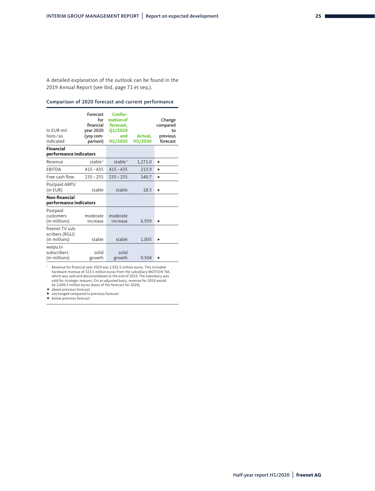A detailed explanation of the outlook can be found in the 2019 Annual Report (see ibid. page 71 et seq.).

#### Comparison of 2020 forecast and current performance

| In EUR mil-<br>lions/as<br>indicated               | Forecast<br>for<br>financial<br><b>year 2020</b><br>(yoy com-<br>parison) | Confor-<br>mation of<br>forecast.<br><b>Q1/2020</b><br>and<br>H1/2020 | Actual.<br>H1/2020 | Change<br>compared<br>to<br>previous<br>forecast |
|----------------------------------------------------|---------------------------------------------------------------------------|-----------------------------------------------------------------------|--------------------|--------------------------------------------------|
| <b>Financial</b>                                   |                                                                           |                                                                       |                    |                                                  |
| performance indicators                             |                                                                           |                                                                       |                    |                                                  |
| Revenue                                            | stable <sup>1</sup>                                                       | stable <sup>1</sup>                                                   | 1,271.0            | ▶                                                |
| <b>EBITDA</b>                                      | $415 - 435$                                                               | $415 - 435$                                                           | 213.9              | ь                                                |
| Free cash flow                                     | $235 - 255$                                                               | $235 - 255$                                                           | 140.7              | ь                                                |
| Postpaid ARPU<br>(in EUR)                          | stable                                                                    | stable                                                                | 18.3               |                                                  |
| Non-financial<br>performance indicators            |                                                                           |                                                                       |                    |                                                  |
| Postpaid<br>customers<br>(in millions)             | moderate<br>increase                                                      | moderate<br>increase                                                  | 6.939              | ь                                                |
| freenet TV sub-<br>scribers (RGU)<br>(in millions) | stable                                                                    | stable                                                                | 1.005              |                                                  |
| waipu.tv<br>subscribers<br>(in millions)           | solid<br>growth                                                           | solid<br>growth                                                       | 0.504              |                                                  |

1 Revenue for financial year 2019 was 2,932.5 million euros. This included hardware revenue of 323.5 million euros from the subsidiary MOTION TM, which was sold and deconsolidated at the end of 2019. The subsidiary was sold for strategic reasons. On an adjusted basis, revenue for 2019 would be 2,609.1 million euros (basis of the forecast for 2020).

**A** above previous forecast

▶ unchanged compared to previous forecast<br>▼ below previous forecast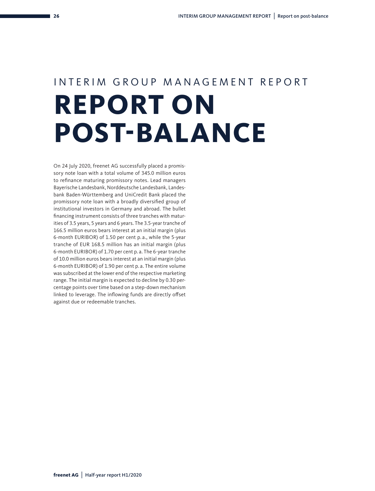# INTERIM GROUP MANAGEMENT REPORT **REPORT ON POST-BALANCE**

On 24 July 2020, freenet AG successfully placed a promissory note loan with a total volume of 345.0 million euros to refinance maturing promissory notes. Lead managers Bayerische Landesbank, Norddeutsche Landesbank, Landesbank Baden-Württemberg and UniCredit Bank placed the promissory note loan with a broadly diversified group of institutional investors in Germany and abroad. The bullet financing instrument consists of three tranches with maturities of 3.5 years, 5 years and 6 years. The 3.5-year tranche of 166.5 million euros bears interest at an initial margin (plus 6-month EURIBOR) of 1.50 per cent p. a., while the 5-year tranche of EUR 168.5 million has an initial margin (plus 6-month EURIBOR) of 1.70 per cent p. a. The 6-year tranche of 10.0 million euros bears interest at an initial margin (plus 6-month EURIBOR) of 1.90 per cent p. a. The entire volume was subscribed at the lower end of the respective marketing range. The initial margin is expected to decline by 0.30 percentage points over time based on a step-down mechanism linked to leverage. The inflowing funds are directly offset against due or redeemable tranches.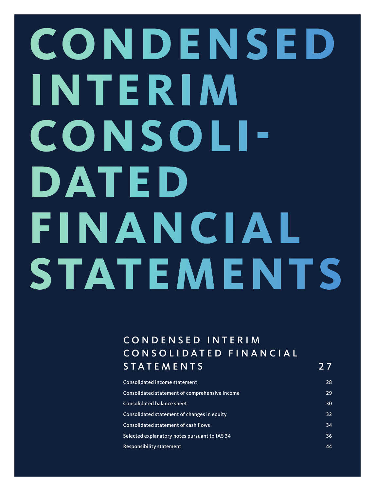# **CONDEN SED INTERIM CONSOLI-DATED FINANCIAL STATEMENTS**

### C O N D E N S E D I N T E R I M CONSOLIDATED FINANCIAL STATEMENTS 27

| Consolidated income statement                  | 28 |
|------------------------------------------------|----|
| Consolidated statement of comprehensive income | 29 |
| <b>Consolidated balance sheet</b>              | 30 |
| Consolidated statement of changes in equity    | 32 |
| Consolidated statement of cash flows           | 34 |
| Selected explanatory notes pursuant to IAS 34  | 36 |
| Responsibility statement                       | 44 |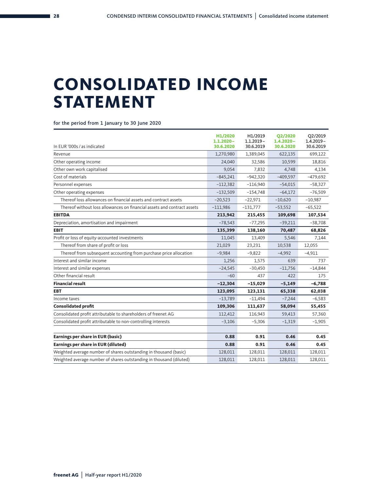### **CONSOLIDATED INCOME STATEMENT**

for the period from 1 January to 30 June 2020

| In EUR '000s / as indicated                                             | H1/2020<br>$1.1.2020 -$<br>30.6.2020 | H1/2019<br>$1.1.2019 -$<br>30.6.2019 | <b>Q2/2020</b><br>$1.4.2020 -$<br>30.6.2020 | Q2/2019<br>$1.4.2019 -$<br>30.6.2019 |
|-------------------------------------------------------------------------|--------------------------------------|--------------------------------------|---------------------------------------------|--------------------------------------|
| Revenue                                                                 | 1,270,980                            | 1,389,045                            | 622,135                                     | 699,122                              |
| Other operating income                                                  | 24,040                               | 32,586                               | 10,599                                      | 18,816                               |
| Other own work capitalised                                              | 9,054                                | 7,832                                | 4,748                                       | 4,134                                |
| Cost of materials                                                       | $-845,241$                           | $-942,320$                           | $-409,597$                                  | $-479,692$                           |
| Personnel expenses                                                      | $-112,382$                           | $-116,940$                           | $-54,015$                                   | $-58,327$                            |
| Other operating expenses                                                | $-132,509$                           | $-154,748$                           | $-64,172$                                   | $-76,509$                            |
| Thereof loss allowances on financial assets and contract assets         | $-20,523$                            | $-22,971$                            | $-10,620$                                   | $-10,987$                            |
| Thereof without loss allowances on financial assets and contract assets | $-111,986$                           | $-131,777$                           | $-53,552$                                   | $-65,522$                            |
| <b>EBITDA</b>                                                           | 213,942                              | 215,455                              | 109,698                                     | 107,534                              |
| Depreciation, amortisation and impairment                               | $-78,543$                            | $-77,295$                            | $-39,211$                                   | $-38,708$                            |
| <b>EBIT</b>                                                             | 135,399                              | 138,160                              | 70,487                                      | 68,826                               |
| Profit or loss of equity-accounted investments                          | 11,045                               | 13,409                               | 5,546                                       | 7,144                                |
| Thereof from share of profit or loss                                    | 21,029                               | 23,231                               | 10,538                                      | 12,055                               |
| Thereof from subsequent accounting from purchase price allocation       | $-9,984$                             | $-9,822$                             | $-4,992$                                    | $-4,911$                             |
| Interest and similar income                                             | 1,256                                | 1.575                                | 639                                         | 737                                  |
| Interest and similar expenses                                           | $-24,545$                            | $-30,450$                            | $-11,756$                                   | $-14,844$                            |
| Other financial result                                                  | $-60$                                | 437                                  | 422                                         | 175                                  |
| <b>Financial result</b>                                                 | $-12,304$                            | $-15,029$                            | $-5,149$                                    | $-6,788$                             |
| <b>EBT</b>                                                              | 123,095                              | 123,131                              | 65,338                                      | 62,038                               |
| Income taxes                                                            | $-13,789$                            | $-11,494$                            | $-7,244$                                    | $-6,583$                             |
| <b>Consolidated profit</b>                                              | 109,306                              | 111,637                              | 58,094                                      | 55,455                               |
| Consolidated profit attributable to shareholders of freenet AG          | 112,412                              | 116,943                              | 59,413                                      | 57,360                               |
| Consolidated profit attributable to non-controlling interests           | $-3,106$                             | $-5,306$                             | $-1,319$                                    | $-1,905$                             |
|                                                                         |                                      |                                      |                                             |                                      |
| Earnings per share in EUR (basic)                                       | 0.88                                 | 0.91                                 | 0.46                                        | 0.45                                 |
| Earnings per share in EUR (diluted)                                     | 0.88                                 | 0.91                                 | 0.46                                        | 0.45                                 |
| Weighted average number of shares outstanding in thousand (basic)       | 128,011                              | 128,011                              | 128,011                                     | 128,011                              |
| Weighted average number of shares outstanding in thousand (diluted)     | 128,011                              | 128,011                              | 128,011                                     | 128,011                              |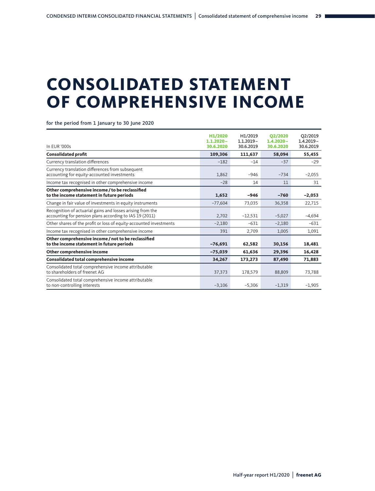## **CONSOLIDATED STATEMENT OF COMPREHENSIVE INCOME**

for the period from 1 January to 30 June 2020

| In EUR '000s                                                                                                          | H1/2020<br>$1.1.2020 -$<br>30.6.2020 | H1/2019<br>$1.1.2019 -$<br>30.6.2019 | <b>Q2/2020</b><br>$1.4.2020 -$<br>30.6.2020 | Q2/2019<br>$1.4.2019 -$<br>30.6.2019 |
|-----------------------------------------------------------------------------------------------------------------------|--------------------------------------|--------------------------------------|---------------------------------------------|--------------------------------------|
| <b>Consolidated profit</b>                                                                                            | 109,306                              | 111,637                              | 58,094                                      | 55,455                               |
| Currency translation differences                                                                                      | $-182$                               | $-14$                                | $-37$                                       | $-29$                                |
| Currency translation differences from subsequent<br>accounting for equity-accounted investments                       | 1.862                                | $-946$                               | $-734$                                      | $-2,055$                             |
| Income tax recognised in other comprehensive income                                                                   | $-28$                                | 14                                   | 11                                          | 31                                   |
| Other comprehensive income / to be reclassified<br>to the income statement in future periods                          | 1,652                                | $-946$                               | $-760$                                      | $-2,053$                             |
| Change in fair value of investments in equity instruments                                                             | $-77,604$                            | 73,035                               | 36,358                                      | 22,715                               |
| Recognition of actuarial gains and losses arising from the<br>accounting for pension plans according to IAS 19 (2011) | 2.702                                | $-12,531$                            | $-5,027$                                    | $-4,694$                             |
| Other shares of the profit or loss of equity-accounted investments                                                    | $-2,180$                             | $-631$                               | $-2.180$                                    | $-631$                               |
| Income tax recognised in other comprehensive income                                                                   | 391                                  | 2,709                                | 1,005                                       | 1,091                                |
| Other comprehensive income / not to be reclassified<br>to the income statement in future periods                      | $-76,691$                            | 62,582                               | 30,156                                      | 18,481                               |
| Other comprehensive income                                                                                            | $-75,039$                            | 61,636                               | 29,396                                      | 16,428                               |
| Consolidated total comprehensive income                                                                               | 34,267                               | 173,273                              | 87,490                                      | 71,883                               |
| Consolidated total comprehensive income attributable<br>to shareholders of freenet AG                                 | 37,373                               | 178,579                              | 88,809                                      | 73,788                               |
| Consolidated total comprehensive income attributable<br>to non-controlling interests                                  | $-3,106$                             | $-5,306$                             | $-1,319$                                    | $-1,905$                             |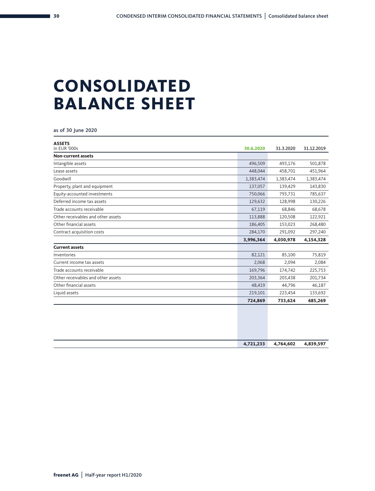## **CONSOLIDATED BALANCE SHEET**

as of 30 June 2020

| <b>ASSETS</b><br>In EUR '000s      | 30.6.2020 | 31.3.2020 | 31.12.2019 |
|------------------------------------|-----------|-----------|------------|
| <b>Non-current assets</b>          |           |           |            |
| Intangible assets                  | 496,509   | 493,176   | 501,878    |
| Lease assets                       | 448,044   | 458,701   | 451,964    |
| Goodwill                           | 1,383,474 | 1,383,474 | 1,383,474  |
| Property, plant and equipment      | 137,057   | 139,429   | 143,830    |
| Equity-accounted investments       | 750,066   | 793,731   | 785,637    |
| Deferred income tax assets         | 129,632   | 128,998   | 130,226    |
| Trade accounts receivable          | 67,119    | 68,846    | 68,678     |
| Other receivables and other assets | 113,888   | 120,508   | 122,921    |
| Other financial assets             | 186,405   | 153,023   | 268,480    |
| Contract acquisition costs         | 284,170   | 291,092   | 297,240    |
|                                    | 3,996,364 | 4,030,978 | 4,154,328  |
| <b>Current assets</b>              |           |           |            |
| Inventories                        | 82,121    | 85,100    | 75,819     |
| Current income tax assets          | 2,068     | 2,094     | 2,084      |
| Trade accounts receivable          | 169,796   | 174,742   | 225,753    |
| Other receivables and other assets | 203,364   | 203,438   | 201,734    |
| Other financial assets             | 48,419    | 44,796    | 46,187     |
| Liquid assets                      | 219,101   | 223,454   | 133,692    |
|                                    | 724,869   | 733,624   | 685,269    |
|                                    |           |           |            |
|                                    | 4,721,233 | 4,764,602 | 4,839,597  |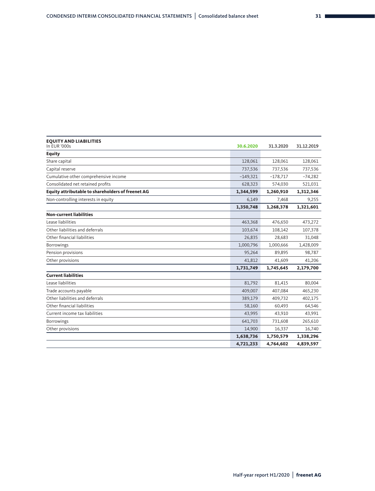| <b>EQUITY AND LIABILITIES</b><br>In EUR '000s     | 30.6.2020  | 31.3.2020  | 31.12.2019 |
|---------------------------------------------------|------------|------------|------------|
| <b>Equity</b>                                     |            |            |            |
| Share capital                                     | 128,061    | 128,061    | 128,061    |
| Capital reserve                                   | 737,536    | 737,536    | 737,536    |
| Cumulative other comprehensive income             | $-149,321$ | $-178,717$ | $-74,282$  |
| Consolidated net retained profits                 | 628,323    | 574,030    | 521,031    |
| Equity attributable to shareholders of freenet AG | 1,344,599  | 1,260,910  | 1,312,346  |
| Non-controlling interests in equity               | 6,149      | 7,468      | 9,255      |
|                                                   | 1,350,748  | 1,268,378  | 1,321,601  |
| <b>Non-current liabilities</b>                    |            |            |            |
| Lease liabilities                                 | 463,368    | 476,650    | 473,272    |
| Other liabilities and deferrals                   | 103,674    | 108,142    | 107,378    |
| Other financial liabilities                       | 26,835     | 28,683     | 31,048     |
| Borrowings                                        | 1,000,796  | 1,000,666  | 1,428,009  |
| Pension provisions                                | 95,264     | 89,895     | 98,787     |
| Other provisions                                  | 41,812     | 41.609     | 41,206     |
|                                                   | 1,731,749  | 1,745,645  | 2,179,700  |
| <b>Current liabilities</b>                        |            |            |            |
| Lease liabilities                                 | 81,792     | 81,415     | 80,004     |
| Trade accounts payable                            | 409,007    | 407,084    | 465,230    |
| Other liabilities and deferrals                   | 389,179    | 409,732    | 402,175    |
| Other financial liabilities                       | 58,160     | 60,493     | 64,546     |
| Current income tax liabilities                    | 43,995     | 43,910     | 43,991     |
| <b>Borrowings</b>                                 | 641,703    | 731,608    | 265,610    |
| Other provisions                                  | 14,900     | 16,337     | 16,740     |
|                                                   | 1,638,736  | 1,750,579  | 1,338,296  |
|                                                   | 4,721,233  | 4,764,602  | 4,839,597  |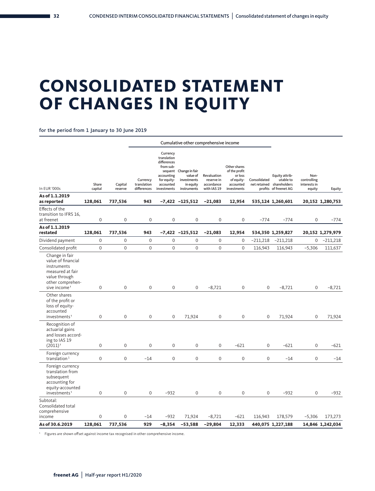### **CONSOLIDATED STATEMENT OF CHANGES IN EQUITY**

for the period from 1 January to 30 June 2019

|                                                                                                                                          |                  |                    | Cumulative other comprehensive income  |                                                                                                                         |                                                                       |                                                        |                                                                                    |              |                                                                                   |                                               |                  |
|------------------------------------------------------------------------------------------------------------------------------------------|------------------|--------------------|----------------------------------------|-------------------------------------------------------------------------------------------------------------------------|-----------------------------------------------------------------------|--------------------------------------------------------|------------------------------------------------------------------------------------|--------------|-----------------------------------------------------------------------------------|-----------------------------------------------|------------------|
| In EUR '000s                                                                                                                             | Share<br>capital | Capital<br>reserve | Currency<br>translation<br>differences | Currency<br>translation<br>differences<br>from sub-<br>sequent<br>accounting<br>for equity-<br>accounted<br>investments | Change in fair<br>value of<br>investments<br>in equity<br>instruments | Revaluation<br>reserve in<br>accordance<br>with IAS 19 | Other shares<br>of the profit<br>or loss<br>of equity-<br>accounted<br>investments | Consolidated | Equity attrib-<br>utable to<br>net retained shareholders<br>profits of freenet AG | Non-<br>controlling<br>interests in<br>equity | Equity           |
| As of 1.1.2019                                                                                                                           |                  |                    |                                        |                                                                                                                         |                                                                       |                                                        |                                                                                    |              |                                                                                   |                                               |                  |
| as reported<br>Effects of the                                                                                                            | 128,061          | 737,536            | 943                                    |                                                                                                                         | $-7,422$ $-125,512$                                                   | $-21,083$                                              | 12,954                                                                             |              | 535,124 1,260,601                                                                 |                                               | 20,152 1,280,753 |
| transition to IFRS 16,<br>at freenet                                                                                                     | $\mathbf 0$      | $\mathbf 0$        | 0                                      | 0                                                                                                                       | $\mathsf{O}\xspace$                                                   | $\mathbf 0$                                            | $\mathbf 0$                                                                        | $-774$       | $-774$                                                                            | 0                                             | $-774$           |
| As of 1.1.2019<br>restated                                                                                                               | 128,061          | 737,536            | 943                                    |                                                                                                                         | $-7,422 -125,512$                                                     | $-21,083$                                              | 12,954                                                                             |              | 534,350 1,259,827                                                                 |                                               | 20,152 1,279,979 |
| Dividend payment                                                                                                                         | $\mathbf 0$      | $\mathbf 0$        | $\mathbf 0$                            | $\mathsf 0$                                                                                                             | $\mathbf 0$                                                           | $\mathbf 0$                                            | $\mathbf 0$                                                                        | $-211,218$   | $-211,218$                                                                        | 0                                             | $-211,218$       |
| Consolidated profit                                                                                                                      | $\mathbf 0$      | $\boldsymbol{0}$   | $\mathsf{O}\xspace$                    | 0                                                                                                                       | $\mathsf{O}\xspace$                                                   | $\mathbf 0$                                            | $\mathbf 0$                                                                        | 116,943      | 116,943                                                                           | $-5,306$                                      | 111,637          |
| Change in fair<br>value of financial<br>instruments<br>measured at fair<br>value through<br>other comprehen-<br>sive income <sup>1</sup> | 0                | $\mathbf{0}$       | $\mathbf{0}$                           | $\mathbf{0}$                                                                                                            | $\mathbf{0}$                                                          | $-8,721$                                               | $\mathbf{0}$                                                                       | $\mathbf{0}$ | $-8,721$                                                                          | $\mathbf{0}$                                  | $-8,721$         |
| Other shares<br>of the profit or<br>loss of equity-<br>accounted<br>investments <sup>1</sup>                                             | $\mathbf 0$      | $\mathbf 0$        | $\mathbf 0$                            | $\mathbf 0$                                                                                                             | 71,924                                                                | $\mathbf{0}$                                           | $\mathbf 0$                                                                        | $\mathbf 0$  | 71,924                                                                            | $\mathbf{0}$                                  | 71,924           |
| Recognition of<br>actuarial gains<br>and losses accord-<br>ing to IAS 19<br>$(2011)^{1}$                                                 | $\Omega$         | $\Omega$           | $\Omega$                               | $\Omega$                                                                                                                | $\Omega$                                                              | $\Omega$                                               | $-621$                                                                             | 0            | $-621$                                                                            | 0                                             | $-621$           |
| Foreign currency<br>translation $1$                                                                                                      | $\mathbf 0$      | $\mathbf 0$        | $-14$                                  | $\mathbf 0$                                                                                                             | $\mathbf 0$                                                           | $\mathbf 0$                                            | $\mathbf 0$                                                                        | $\mathsf 0$  | $-14$                                                                             | $\mathsf 0$                                   | $-14$            |
| Foreign currency<br>translation from<br>subsequent<br>accounting for<br>equity-accounted<br>investments <sup>1</sup>                     | $\mathbf 0$      | $\mathbf 0$        | $\mathsf{O}\xspace$                    | $-932$                                                                                                                  | $\mathsf{O}\xspace$                                                   | $\mathbf 0$                                            | $\mathbf 0$                                                                        | 0            | $-932$                                                                            | 0                                             | $-932$           |
| Subtotal:<br>Consolidated total<br>comprehensive<br>income                                                                               | 0                | 0                  | $-14$                                  | $-932$                                                                                                                  | 71,924                                                                | $-8,721$                                               | $-621$                                                                             | 116,943      | 178,579                                                                           | $-5,306$                                      | 173,273          |
| As of 30.6.2019                                                                                                                          | 128,061          | 737,536            | 929                                    | $-8,354$                                                                                                                | $-53,588$                                                             | $-29,804$                                              | 12,333                                                                             |              | 440,075 1,227,188                                                                 |                                               | 14,846 1,242,034 |
|                                                                                                                                          |                  |                    |                                        |                                                                                                                         |                                                                       |                                                        |                                                                                    |              |                                                                                   |                                               |                  |

1 Figures are shown offset against income tax recognised in other comprehensive income.

**32**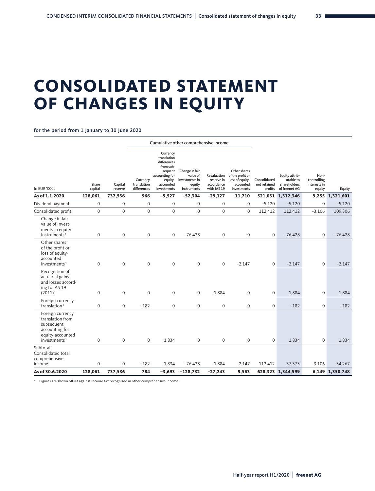## **CONSOLIDATED STATEMENT OF CHANGES IN EQUITY**

for the period from 1 January to 30 June 2020

| Cumulative other comprehensive income                                                                                |                        |                         |                                        |                                                                                                                         |                                                                       |                                                        |                                                                                 |                                         |                                                              |                                               |                           |
|----------------------------------------------------------------------------------------------------------------------|------------------------|-------------------------|----------------------------------------|-------------------------------------------------------------------------------------------------------------------------|-----------------------------------------------------------------------|--------------------------------------------------------|---------------------------------------------------------------------------------|-----------------------------------------|--------------------------------------------------------------|-----------------------------------------------|---------------------------|
| In EUR '000s                                                                                                         | Share<br>capital       | Capital<br>reserve      | Currency<br>translation<br>differences | Currency<br>translation<br>differences<br>from sub-<br>sequent<br>accounting for<br>equity-<br>accounted<br>investments | Change in fair<br>value of<br>investments in<br>equity<br>instruments | Revaluation<br>reserve in<br>accordance<br>with IAS 19 | Other shares<br>of the profit or<br>loss of equity-<br>accounted<br>investments | Consolidated<br>net retained<br>profits | Equity attrib-<br>utable to<br>shareholders<br>of freenet AG | Non-<br>controlling<br>interests in<br>equity | Equity                    |
| As of 1.1.2020                                                                                                       | 128,061                | 737,536                 | 966                                    | $-5,527$                                                                                                                | $-52,304$                                                             | $-29,127$                                              | 11,710                                                                          |                                         | 521,031 1,312,346                                            |                                               | 9,255 1,321,601           |
| Dividend payment                                                                                                     | $\mathbf 0$            | $\mathbf 0$             | $\mathbf 0$                            | $\mathbf 0$                                                                                                             | $\mathbf{0}$                                                          | $\mathbf{0}$                                           | $\mathbf{0}$                                                                    | $-5,120$                                | $-5,120$                                                     | 0                                             | $-5,120$                  |
| Consolidated profit                                                                                                  | $\mathbf 0$            | $\mathbf 0$             | $\mathbf 0$                            | $\mathbf 0$                                                                                                             | $\mathbf 0$                                                           | $\mathbf 0$                                            | $\mathbf{0}$                                                                    | 112,412                                 | 112,412                                                      | $-3,106$                                      | 109,306                   |
| Change in fair<br>value of invest-<br>ments in equity<br>instruments <sup>1</sup>                                    | 0                      | $\mathbf 0$             | 0                                      | 0                                                                                                                       | $-76,428$                                                             | $\boldsymbol{0}$                                       | $\mathbf 0$                                                                     | $\mathbf 0$                             | $-76,428$                                                    | 0                                             | $-76,428$                 |
| Other shares<br>of the profit or<br>loss of equity-<br>accounted<br>investments <sup>1</sup>                         | 0                      | $\mathsf{O}\xspace$     | 0                                      | $\boldsymbol{0}$                                                                                                        | 0                                                                     | $\mathbf 0$                                            | $-2,147$                                                                        | $\mathbf 0$                             | $-2,147$                                                     | 0                                             | $-2,147$                  |
| Recognition of<br>actuarial gains<br>and losses accord-<br>ing to IAS 19<br>$(2011)^1$                               | $\mathbf 0$            | $\mathbf{0}$            | $\mathbf 0$                            | $\mathbf{0}$                                                                                                            | $\mathbf{0}$                                                          | 1,884                                                  | $\mathbf{0}$                                                                    | $\mathbf 0$                             | 1,884                                                        | 0                                             | 1,884                     |
| Foreign currency<br>translation <sup>1</sup>                                                                         | $\mathbf 0$            | $\mathbf{0}$            | $-182$                                 | $\mathbf{0}$                                                                                                            | $\mathbf{0}$                                                          | $\mathbf 0$                                            | $\mathbf{0}$                                                                    | $\mathbf 0$                             | $-182$                                                       | $\mathbf 0$                                   | $-182$                    |
| Foreign currency<br>translation from<br>subsequent<br>accounting for<br>equity-accounted<br>investments <sup>1</sup> | 0                      | $\mathbf 0$             | $\mathbf 0$                            | 1,834                                                                                                                   | $\mathsf{O}\xspace$                                                   | $\mathbf 0$                                            | $\mathbf 0$                                                                     | $\mathbf 0$                             | 1,834                                                        | $\mathbf 0$                                   | 1,834                     |
| Subtotal:<br>Consolidated total<br>comprehensive                                                                     |                        |                         |                                        |                                                                                                                         |                                                                       |                                                        |                                                                                 |                                         |                                                              |                                               |                           |
| income<br>As of 30.6.2020                                                                                            | $\mathbf 0$<br>128,061 | $\mathbf{0}$<br>737,536 | $-182$<br>784                          | 1,834<br>$-3,693$                                                                                                       | $-76,428$<br>$-128,732$                                               | 1,884<br>$-27,243$                                     | $-2,147$<br>9,563                                                               | 112,412                                 | 37,373<br>628,323 1,344,599                                  | $-3,106$                                      | 34,267<br>6,149 1,350,748 |
|                                                                                                                      |                        |                         |                                        |                                                                                                                         |                                                                       |                                                        |                                                                                 |                                         |                                                              |                                               |                           |

1 Figures are shown offset against income tax recognised in other comprehensive income.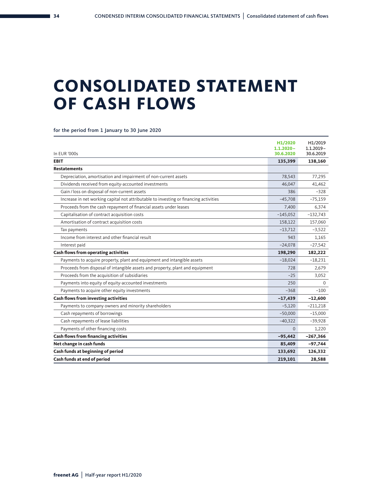### **CONSOLIDATED STATEMENT OF CASH FLOWS**

for the period from 1 January to 30 June 2020

| In EUR '000s                                                                          | H1/2020<br>$1.1.2020 -$<br>30.6.2020 | H1/2019<br>$1.1.2019 -$<br>30.6.2019 |
|---------------------------------------------------------------------------------------|--------------------------------------|--------------------------------------|
| <b>EBIT</b>                                                                           | 135,399                              | 138,160                              |
| <b>Restatements</b>                                                                   |                                      |                                      |
| Depreciation, amortisation and impairment of non-current assets                       | 78,543                               | 77,295                               |
| Dividends received from equity-accounted investments                                  | 46,047                               | 41,462                               |
| Gain / loss on disposal of non-current assets                                         | 386                                  | $-328$                               |
| Increase in net working capital not attributable to investing or financing activities | $-45,708$                            | $-75,159$                            |
| Proceeds from the cash repayment of financial assets under leases                     | 7,400                                | 6,374                                |
| Capitalisation of contract acquisition costs                                          | $-145,052$                           | $-132,743$                           |
| Amortisation of contract acquisition costs                                            | 158,122                              | 157,060                              |
| Tax payments                                                                          | $-13,712$                            | $-3,522$                             |
| Income from interest and other financial result                                       | 943                                  | 1,165                                |
| Interest paid                                                                         | $-24,078$                            | $-27,542$                            |
| Cash flows from operating activities                                                  | 198,290                              | 182,222                              |
| Payments to acquire property, plant and equipment and intangible assets               | $-18,024$                            | $-18,231$                            |
| Proceeds from disposal of intangible assets and property, plant and equipment         | 728                                  | 2,679                                |
| Proceeds from the acquisition of subsidiaries                                         | $-25$                                | 3,052                                |
| Payments into equity of equity-accounted investments                                  | 250                                  | $\Omega$                             |
| Payments to acquire other equity investments                                          | $-368$                               | $-100$                               |
| <b>Cash flows from investing activities</b>                                           | $-17,439$                            | $-12,600$                            |
| Payments to company owners and minority shareholders                                  | $-5,120$                             | $-211,218$                           |
| Cash repayments of borrowings                                                         | $-50,000$                            | $-15,000$                            |
| Cash repayments of lease liabilities                                                  | $-40,322$                            | $-39,928$                            |
| Payments of other financing costs                                                     | $\Omega$                             | 1.220                                |
| <b>Cash flows from financing activities</b>                                           | $-95,442$                            | $-267,366$                           |
| Net change in cash funds                                                              | 85,409                               | $-97,744$                            |
| Cash funds at beginning of period                                                     | 133,692                              | 126,332                              |
| Cash funds at end of period                                                           | 219,101                              | 28,588                               |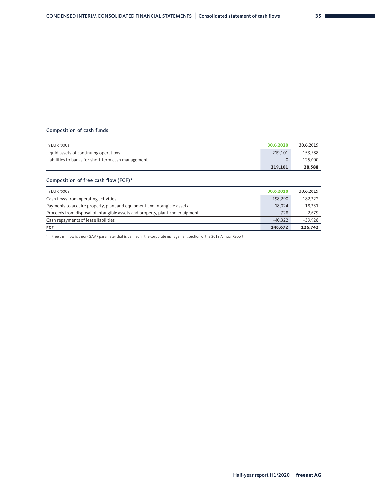#### Composition of cash funds

| In EUR '000s                                        | 30.6.2020 | 30.6.2019  |
|-----------------------------------------------------|-----------|------------|
| Liquid assets of continuing operations              | 219,101   | 153,588    |
| Liabilities to banks for short-term cash management |           | $-125.000$ |
|                                                     | 219.101   | 28,588     |

#### Composition of free cash flow (FCF)<sup>1</sup>

| In EUR '000s                                                                  | 30.6.2020 | 30.6.2019 |
|-------------------------------------------------------------------------------|-----------|-----------|
| Cash flows from operating activities                                          | 198,290   | 182.222   |
| Payments to acquire property, plant and equipment and intangible assets       | $-18.024$ | $-18.231$ |
| Proceeds from disposal of intangible assets and property, plant and equipment | 728       | 2,679     |
| Cash repayments of lease liabilities                                          | $-40.322$ | $-39.928$ |
| <b>FCF</b>                                                                    | 140,672   | 126,742   |

1 Free cash flow is a non-GAAP parameter that is defined in the corporate management section of the 2019 Annual Report.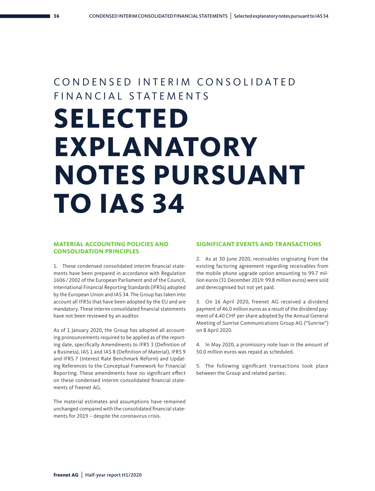### CONDENSED INTERIM CONSOLIDATED FIN A N C I A L S T A T F M F N T S

# **SELECTED EXPLANATORY NOTES PURSUANT TO IAS 34**

#### **MATERIAL ACCOUNTING POLICIES AND CONSOLIDATION PRINCIPLES**

1. These condensed consolidated interim financial statements have been prepared in accordance with Regulation 1606 / 2002 of the European Parliament and of the Council, International Financial Reporting Standards (IFRSs) adopted by the European Union and IAS 34. The Group has taken into account all IFRSs that have been adopted by the EU and are mandatory. These interim consolidated financial statements have not been reviewed by an auditor.

As of 1 January 2020, the Group has adopted all accounting pronouncements required to be applied as of the reporting date, specifically Amendments to IFRS 3 (Definition of a Business), IAS 1 and IAS 8 (Definition of Material), IFRS 9 and IFRS 7 (Interest Rate Benchmark Reform) and Updating References to the Conceptual Framework for Financial Reporting. These amendments have no significant effect on these condensed interim consolidated financial statements of freenet AG.

The material estimates and assumptions have remained unchanged compared with the consolidated financial statements for 2019 – despite the coronavirus crisis.

#### **SIGNIFICANT EVENTS AND TRANSACTIONS**

2. As at 30 June 2020, receivables originating from the existing factoring agreement regarding receivables from the mobile phone upgrade option amounting to 99.7 million euros (31 December 2019: 99.8 million euros) were sold and derecognised but not yet paid.

3. On 16 April 2020, freenet AG received a dividend payment of 46.0 million euros as a result of the dividend payment of 4.40 CHF per share adopted by the Annual General Meeting of Sunrise Communications Group AG ("Sunrise") on 8 April 2020.

4. In May 2020, a promissory note loan in the amount of 50.0 million euros was repaid as scheduled.

5. The following significant transactions took place between the Group and related parties: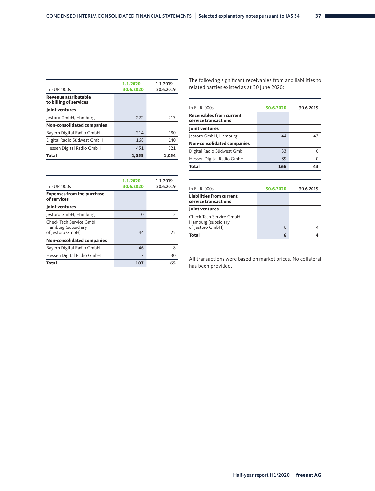| In EUR '000s                                          | $1.1.2020 -$<br>30.6.2020 | $1.1.2019 -$<br>30.6.2019 |
|-------------------------------------------------------|---------------------------|---------------------------|
| <b>Revenue attributable</b><br>to billing of services |                           |                           |
| Joint ventures                                        |                           |                           |
| Jestoro GmbH, Hamburg                                 | 222                       | 213                       |
| Non-consolidated companies                            |                           |                           |
| Bayern Digital Radio GmbH                             | 214                       | 180                       |
| Digital Radio Südwest GmbH                            | 168                       | 140                       |
| Hessen Digital Radio GmbH                             | 451                       | 521                       |
| <b>Total</b>                                          | 1.055                     | 1.054                     |

The following significant receivables from and liabilities to related parties existed as at 30 June 2020:

| In EUR '000s                                                        | 30.6.2020 | 30.6.2019 |
|---------------------------------------------------------------------|-----------|-----------|
| <b>Receivables from current</b><br>service transactions             |           |           |
| Joint ventures                                                      |           |           |
| Jestoro GmbH, Hamburg                                               | 44        | 43        |
| Non-consolidated companies                                          |           |           |
| Digital Radio Südwest GmbH                                          | 33        | 0         |
| Hessen Digital Radio GmbH                                           | 89        | 0         |
| <b>Total</b>                                                        | 166       | 43        |
|                                                                     |           |           |
| In EUR '000s                                                        | 30.6.2020 | 30.6.2019 |
| <b>Liabilities from current</b><br>service transactions             |           |           |
| Joint ventures                                                      |           |           |
| Check Tech Service GmbH,<br>Hamburg (subsidiary<br>of Jestoro GmbH) | 6         | 4         |
| Total                                                               | 6         | 4         |

| In EUR '000s                                                        | $1.1.2020 -$<br>30.6.2020 | $1.1.2019 -$<br>30.6.2019 |
|---------------------------------------------------------------------|---------------------------|---------------------------|
| <b>Expenses from the purchase</b><br>of services                    |                           |                           |
| Joint ventures                                                      |                           |                           |
| Jestoro GmbH, Hamburg                                               | $\Omega$                  | $\overline{2}$            |
| Check Tech Service GmbH,<br>Hamburg (subsidiary<br>of Jestoro GmbH) | 44                        | 25                        |
| <b>Non-consolidated companies</b>                                   |                           |                           |
| Bayern Digital Radio GmbH                                           | 46                        | 8                         |
| Hessen Digital Radio GmbH                                           | 17                        | 30                        |
| Total                                                               | 107                       | 65                        |

All transactions were based on market prices. No collateral has been provided.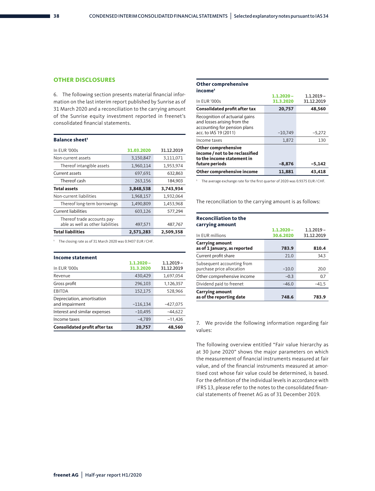#### **OTHER DISCLOSURES**

6. The following section presents material financial information on the last interim report published by Sunrise as of 31 March 2020 and a reconciliation to the carrying amount of the Sunrise equity investment reported in freenet's consolidated financial statements.

| <b>Balance sheet</b> <sup>1</sup>                                |            |            |
|------------------------------------------------------------------|------------|------------|
| In EUR '000s                                                     | 31.03.2020 | 31.12.2019 |
| Non-current assets                                               | 3,150,847  | 3,111,071  |
| Thereof intangible assets                                        | 1,960,114  | 1,953,974  |
| Current assets                                                   | 697,691    | 632,863    |
| Thereof cash                                                     | 263,156    | 184,903    |
| <b>Total assets</b>                                              | 3,848,538  | 3,743,934  |
| Non-current liabilities                                          | 1,968,157  | 1,932,064  |
| Thereof long-term borrowings                                     | 1,490,809  | 1,453,968  |
| Current liabilities                                              | 603,126    | 577,294    |
| Thereof trade accounts pay-<br>able as well as other liabilities | 497,571    | 487,767    |
| <b>Total liabilities</b>                                         | 2,571,283  | 2,509,358  |

**Other comprehensive** 

| income <sup>1</sup>                                                                                                    |              |              |
|------------------------------------------------------------------------------------------------------------------------|--------------|--------------|
|                                                                                                                        | $1.1.2020 -$ | $1.1.2019 -$ |
| In EUR '000s                                                                                                           | 31.3.2020    | 31.12.2019   |
| <b>Consolidated profit after tax</b>                                                                                   | 20,757       | 48,560       |
| Recognition of actuarial gains<br>and losses arising from the<br>accounting for pension plans<br>acc. to IAS 19 (2011) | $-10,749$    | $-5,272$     |
| Income taxes                                                                                                           | 1,872        | 130          |
| <b>Other comprehensive</b><br>income / not to be reclassified<br>to the income statement in<br>future periods          | $-8,876$     | $-5,142$     |
| Other comprehensive income                                                                                             | 11,881       | 43,418       |

1 The average exchange rate for the first quarter of 2020 was 0.9375 EUR/CHF.

The reconciliation to the carrying amount is as follows:

| <b>Reconciliation to the</b><br>carrying amount         |                           |                            |
|---------------------------------------------------------|---------------------------|----------------------------|
| In EUR millions                                         | $1.1.2020 -$<br>30.6.2020 | $1.1.2019 -$<br>31.12.2019 |
| <b>Carrying amount</b>                                  | 783.9                     |                            |
| as of 1 January, as reported                            |                           | 810.4                      |
| Current profit share                                    | 71.0                      | 34.3                       |
| Subsequent accounting from<br>purchase price allocation | $-10.0$                   | 20.0                       |
| Other comprehensive income                              | $-0.3$                    | 0.7                        |
| Dividend paid to freenet                                | $-46.0$                   | $-41.5$                    |
| <b>Carrying amount</b><br>as of the reporting date      | 748.6                     | 783.9                      |

7. We provide the following information regarding fair values:

The following overview entitled "Fair value hierarchy as at 30 June 2020" shows the major parameters on which the measurement of financial instruments measured at fair value, and of the financial instruments measured at amortised cost whose fair value could be determined, is based. For the definition of the individual levels in accordance with IFRS 13, please refer to the notes to the consolidated financial statements of freenet AG as of 31 December 2019.

1 The closing rate as of 31 March 2020 was 0.9437 EUR/CHF.

| <b>Income statement</b>                      |                           |                            |
|----------------------------------------------|---------------------------|----------------------------|
| In EUR '000s                                 | $1.1.2020 -$<br>31.3.2020 | $1.1.2019 -$<br>31.12.2019 |
| Revenue                                      | 430,429                   | 1,697,054                  |
| Gross profit                                 | 296,103                   | 1,126,357                  |
| <b>EBITDA</b>                                | 152,175                   | 528,966                    |
| Depreciation, amortisation<br>and impairment | $-116,134$                | $-427,075$                 |
| Interest and similar expenses                | $-10,495$                 | $-44,622$                  |
| Income taxes                                 | $-4,789$                  | $-11,426$                  |
| <b>Consolidated profit after tax</b>         | 20,757                    | 48,560                     |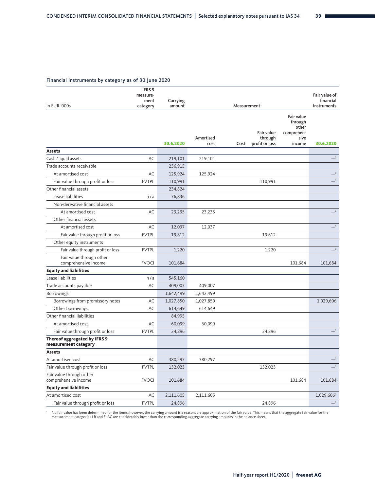#### Financial instruments by category as of 30 June 2020

|                                                             | IFRS <sub>9</sub><br>measure- |           |                   |                                                 |                                                                | Fair value of              |
|-------------------------------------------------------------|-------------------------------|-----------|-------------------|-------------------------------------------------|----------------------------------------------------------------|----------------------------|
|                                                             | ment                          | Carrying  |                   | Measurement                                     |                                                                | financial                  |
| in EUR '000s                                                | category                      | amount    |                   | instruments                                     |                                                                |                            |
|                                                             |                               | 30.6.2020 | Amortised<br>cost | Fair value<br>through<br>profit or loss<br>Cost | Fair value<br>through<br>other<br>comprehen-<br>sive<br>income | 30.6.2020                  |
| <b>Assets</b>                                               |                               |           |                   |                                                 |                                                                |                            |
| Cash / liquid assets                                        | AC                            | 219,101   | 219,101           |                                                 |                                                                | $-1$                       |
| Trade accounts receivable                                   |                               | 236,915   |                   |                                                 |                                                                |                            |
| At amortised cost                                           | AC                            | 125,924   | 125,924           |                                                 |                                                                | $-1$                       |
| Fair value through profit or loss                           | <b>FVTPL</b>                  | 110,991   |                   | 110,991                                         |                                                                | $-1$                       |
| Other financial assets                                      |                               | 234,824   |                   |                                                 |                                                                |                            |
| Lease liabilities                                           | n/a                           | 76,836    |                   |                                                 |                                                                |                            |
| Non-derivative financial assets                             |                               |           |                   |                                                 |                                                                |                            |
| At amortised cost                                           | AC                            | 23,235    | 23,235            |                                                 |                                                                | $-1$                       |
| Other financial assets                                      |                               |           |                   |                                                 |                                                                |                            |
| At amortised cost                                           | AC                            | 12,037    | 12,037            |                                                 |                                                                | $\overline{\phantom{0}}^1$ |
| Fair value through profit or loss                           | <b>FVTPL</b>                  | 19,812    |                   | 19,812                                          |                                                                |                            |
| Other equity instruments                                    |                               |           |                   |                                                 |                                                                |                            |
| Fair value through profit or loss                           | <b>FVTPL</b>                  | 1,220     |                   | 1,220                                           |                                                                | $-1$                       |
| Fair value through other<br>comprehensive income            | <b>FVOCI</b>                  | 101,684   |                   |                                                 | 101,684                                                        | 101,684                    |
| <b>Equity and liabilities</b>                               |                               |           |                   |                                                 |                                                                |                            |
| Lease liabilities                                           | n/a                           | 545,160   |                   |                                                 |                                                                |                            |
| Trade accounts payable                                      | AC                            | 409,007   | 409,007           |                                                 |                                                                |                            |
| <b>Borrowings</b>                                           |                               | 1,642,499 | 1,642,499         |                                                 |                                                                |                            |
| Borrowings from promissory notes                            | AC                            | 1,027,850 | 1,027,850         |                                                 |                                                                | 1,029,606                  |
| Other borrowings                                            | AC                            | 614,649   | 614,649           |                                                 |                                                                |                            |
| Other financial liabilities                                 |                               | 84,995    |                   |                                                 |                                                                |                            |
| At amortised cost                                           | AC                            | 60,099    | 60,099            |                                                 |                                                                |                            |
| Fair value through profit or loss                           | <b>FVTPL</b>                  | 24,896    |                   | 24,896                                          |                                                                | $\overline{\phantom{0}}$   |
| <b>Thereof aggregated by IFRS 9</b><br>measurement category |                               |           |                   |                                                 |                                                                |                            |
| <b>Assets</b>                                               |                               |           |                   |                                                 |                                                                |                            |
| At amortised cost                                           | AC                            | 380,297   | 380,297           |                                                 |                                                                | $_{-1}$                    |
| Fair value through profit or loss                           | <b>FVTPL</b>                  | 132,023   |                   | 132,023                                         |                                                                | $-1$                       |
| Fair value through other<br>comprehensive income            | <b>FVOCI</b>                  | 101,684   |                   |                                                 | 101,684                                                        | 101,684                    |
| <b>Equity and liabilities</b>                               |                               |           |                   |                                                 |                                                                |                            |
| At amortised cost                                           | AC                            | 2,111,605 | 2,111,605         |                                                 |                                                                | 1,029,606 <sup>1</sup>     |
| Fair value through profit or loss                           | <b>FVTPL</b>                  | 24,896    |                   | 24,896                                          |                                                                | $_{-1}$                    |

No fair value has been determined for the items; however, the carrying amount is a reasonable approximation of the fair value. This means that the aggregate fair value for the Nagregate fair value for the in the balance sh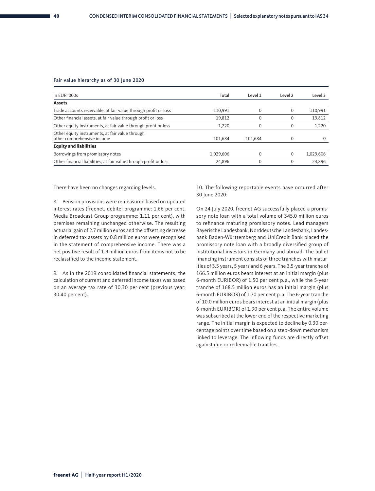#### Fair value hierarchy as of 30 June 2020

| in EUR '000s                                                                  | Total     | Level 1  | Level 2 | Level 3   |
|-------------------------------------------------------------------------------|-----------|----------|---------|-----------|
| <b>Assets</b>                                                                 |           |          |         |           |
| Trade accounts receivable, at fair value through profit or loss               | 110,991   | $\Omega$ |         | 110,991   |
| Other financial assets, at fair value through profit or loss                  | 19,812    | $\Omega$ |         | 19,812    |
| Other equity instruments, at fair value through profit or loss                | 1,220     | $\Omega$ |         | 1,220     |
| Other equity instruments, at fair value through<br>other comprehensive income | 101.684   | 101.684  |         | 0         |
| <b>Equity and liabilities</b>                                                 |           |          |         |           |
| Borrowings from promissory notes                                              | 1.029.606 | $\Omega$ |         | 1.029.606 |
| Other financial liabilities, at fair value through profit or loss             | 24,896    | $\Omega$ |         | 24.896    |

There have been no changes regarding levels.

8. Pension provisions were remeasured based on updated interest rates (freenet, debitel programme: 1.66 per cent, Media Broadcast Group programme: 1.11 per cent), with premises remaining unchanged otherwise. The resulting actuarial gain of 2.7 million euros and the offsetting decrease in deferred tax assets by 0.8 million euros were recognised in the statement of comprehensive income. There was a net positive result of 1.9 million euros from items not to be reclassified to the income statement.

9. As in the 2019 consolidated financial statements, the calculation of current and deferred income taxes was based on an average tax rate of 30.30 per cent (previous year: 30.40 percent).

10. The following reportable events have occurred after 30 June 2020:

On 24 July 2020, freenet AG successfully placed a promissory note loan with a total volume of 345.0 million euros to refinance maturing promissory notes. Lead managers Bayerische Landesbank, Norddeutsche Landesbank, Landesbank Baden-Württemberg and UniCredit Bank placed the promissory note loan with a broadly diversified group of institutional investors in Germany and abroad. The bullet financing instrument consists of three tranches with maturities of 3.5 years, 5 years and 6 years. The 3.5-year tranche of 166.5 million euros bears interest at an initial margin (plus 6-month EURIBOR) of 1.50 per cent p. a., while the 5-year tranche of 168.5 million euros has an initial margin (plus 6-month EURIBOR) of 1.70 per cent p. a. The 6-year tranche of 10.0 million euros bears interest at an initial margin (plus 6-month EURIBOR) of 1.90 per cent p. a. The entire volume was subscribed at the lower end of the respective marketing range. The initial margin is expected to decline by 0.30 percentage points over time based on a step-down mechanism linked to leverage. The inflowing funds are directly offset against due or redeemable tranches.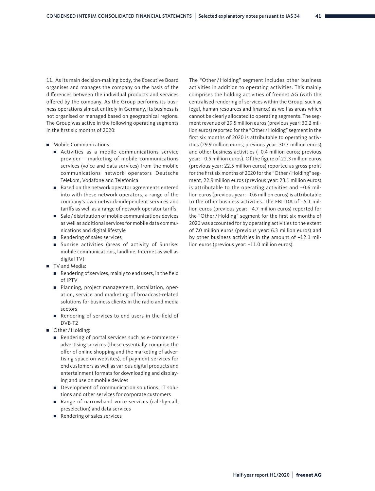11. As its main decision-making body, the Executive Board organises and manages the company on the basis of the differences between the individual products and services offered by the company. As the Group performs its business operations almost entirely in Germany, its business is not organised or managed based on geographical regions. The Group was active in the following operating segments in the first six months of 2020:

- Mobile Communications:
	- Activities as a mobile communications service provider – marketing of mobile communications services (voice and data services) from the mobile communications network operators Deutsche Telekom, Vodafone and Telefónica
	- Based on the network operator agreements entered into with these network operators, a range of the company's own network-independent services and tariffs as well as a range of network operator tariffs
	- Sale / distribution of mobile communications devices as well as additional services for mobile data communications and digital lifestyle
	- Rendering of sales services
	- Sunrise activities (areas of activity of Sunrise: mobile communications, landline, Internet as well as digital TV)
- TV and Media:
	- Rendering of services, mainly to end users, in the field of IPTV
	- Planning, project management, installation, operation, service and marketing of broadcast-related solutions for business clients in the radio and media sectors
	- Rendering of services to end users in the field of DVB-T2
- Other / Holding:
	- Rendering of portal services such as e-commerce / advertising services (these essentially comprise the offer of online shopping and the marketing of advertising space on websites), of payment services for end customers as well as various digital products and entertainment formats for downloading and displaying and use on mobile devices
	- Development of communication solutions, IT solutions and other services for corporate customers
	- Range of narrowband voice services (call-by-call, preselection) and data services
	- Rendering of sales services

The "Other / Holding" segment includes other business activities in addition to operating activities. This mainly comprises the holding activities of freenet AG (with the centralised rendering of services within the Group, such as legal, human resources and finance) as well as areas which cannot be clearly allocated to operating segments. The segment revenue of 29.5 million euros (previous year: 30.2 million euros) reported for the "Other /Holding" segment in the first six months of 2020 is attributable to operating activities (29.9 million euros; previous year: 30.7 million euros) and other business activities (–0.4 million euros; previous year: –0.5 million euros). Of the figure of 22.3 million euros (previous year: 22.5 million euros) reported as gross profit for the first six months of 2020 for the "Other / Holding" segment, 22.9 million euros (previous year: 23.1 million euros) is attributable to the operating activities and –0.6 million euros (previous year: –0.6 million euros) is attributable to the other business activities. The EBITDA of –5.1 million euros (previous year: –4.7 million euros) reported for the "Other / Holding" segment for the first six months of 2020 was accounted for by operating activities to the extent of 7.0 million euros (previous year: 6.3 million euros) and by other business activities in the amount of –12.1 million euros (previous year: –11.0 million euros).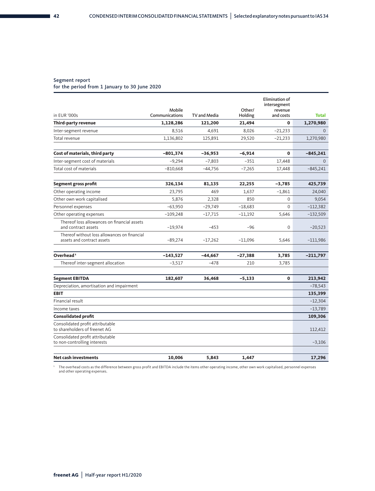#### Segment report

for the period from 1 January to 30 June 2020

|                                                                            |                          |              |                   | Elimination of<br>intersegment |              |
|----------------------------------------------------------------------------|--------------------------|--------------|-------------------|--------------------------------|--------------|
| in EUR '000s                                                               | Mobile<br>Communications | TV and Media | Other/<br>Holding | revenue<br>and costs           | <b>Total</b> |
| Third-party revenue                                                        | 1,128,286                | 121,200      | 21,494            | $\mathbf{0}$                   | 1,270,980    |
| Inter-segment revenue                                                      | 8,516                    | 4,691        | 8,026             | $-21,233$                      | $\Omega$     |
| Total revenue                                                              | 1,136,802                | 125,891      | 29,520            | $-21,233$                      | 1,270,980    |
| Cost of materials, third party                                             | $-801,374$               | $-36,953$    | $-6,914$          | 0                              | $-845,241$   |
| Inter-segment cost of materials                                            | $-9,294$                 | $-7,803$     | $-351$            | 17,448                         | $\Omega$     |
| Total cost of materials                                                    | $-810,668$               | $-44.756$    | $-7.265$          | 17,448                         | $-845,241$   |
| Segment gross profit                                                       | 326,134                  | 81,135       | 22,255            | $-3,785$                       | 425,739      |
| Other operating income                                                     | 23,795                   | 469          | 1,637             | $-1,861$                       | 24,040       |
| Other own work capitalised                                                 | 5,876                    | 2,328        | 850               | $\Omega$                       | 9,054        |
| Personnel expenses                                                         | $-63,950$                | $-29,749$    | $-18,683$         | $\Omega$                       | $-112,382$   |
| Other operating expenses                                                   | $-109,248$               | $-17,715$    | $-11,192$         | 5,646                          | $-132,509$   |
| Thereof loss allowances on financial assets<br>and contract assets         | $-19,974$                | $-453$       | $-96$             | $\mathbf 0$                    | $-20,523$    |
| Thereof without loss allowances on financial<br>assets and contract assets | $-89,274$                | $-17,262$    | $-11,096$         | 5,646                          | $-111,986$   |
| Overhead <sup>1</sup>                                                      | $-143,527$               | $-44,667$    | $-27,388$         | 3,785                          | $-211,797$   |
| Thereof inter-segment allocation                                           | $-3,517$                 | $-478$       | 210               | 3,785                          |              |
| <b>Segment EBITDA</b>                                                      | 182,607                  | 36,468       | $-5,133$          | 0                              | 213,942      |
| Depreciation, amortisation and impairment                                  |                          |              |                   |                                | $-78,543$    |
| <b>EBIT</b>                                                                |                          |              |                   |                                | 135,399      |
| Financial result                                                           |                          |              |                   |                                | $-12,304$    |
| Income taxes                                                               |                          |              |                   |                                | $-13,789$    |
| <b>Consolidated profit</b>                                                 |                          |              |                   |                                | 109,306      |
| Consolidated profit attributable<br>to shareholders of freenet AG          |                          |              |                   |                                | 112,412      |
| Consolidated profit attributable<br>to non-controlling interests           |                          |              |                   |                                | $-3,106$     |
| <b>Net cash investments</b>                                                | 10,006                   | 5,843        | 1,447             |                                | 17,296       |

1 The overhead costs as the difference between gross profit and EBITDA include the items other operating income, other own work capitalised, personnel expenses and other operating expenses.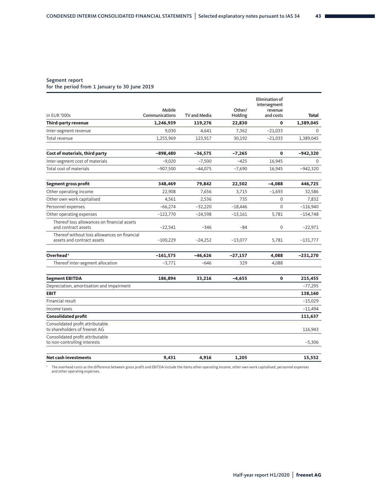#### Segment report

for the period from 1 January to 30 June 2019

|                                                                            |                          |              |                   | <b>Elimination of</b><br>intersegment |              |
|----------------------------------------------------------------------------|--------------------------|--------------|-------------------|---------------------------------------|--------------|
| in EUR '000s                                                               | Mobile<br>Communications | TV and Media | Other/<br>Holding | revenue<br>and costs                  | <b>Total</b> |
| <b>Third-party revenue</b>                                                 | 1,246,939                | 119,276      | 22,830            | $\mathbf 0$                           | 1,389,045    |
| Inter-segment revenue                                                      | 9,030                    | 4,641        | 7,362             | $-21,033$                             | $\Omega$     |
| Total revenue                                                              | 1,255,969                | 123,917      | 30,192            | $-21,033$                             | 1,389,045    |
| Cost of materials, third party                                             | $-898,480$               | $-36,575$    | $-7,265$          | $\mathbf 0$                           | -942,320     |
| Inter-segment cost of materials                                            | $-9,020$                 | $-7,500$     | $-425$            | 16,945                                | $\Omega$     |
| Total cost of materials                                                    | $-907,500$               | $-44,075$    | $-7,690$          | 16,945                                | -942,320     |
| Segment gross profit                                                       | 348,469                  | 79,842       | 22,502            | $-4,088$                              | 446,725      |
| Other operating income                                                     | 22,908                   | 7,656        | 3,715             | $-1,693$                              | 32,586       |
| Other own work capitalised                                                 | 4,561                    | 2,536        | 735               | 0                                     | 7,832        |
| Personnel expenses                                                         | $-66,274$                | $-32,220$    | $-18,446$         | $\Omega$                              | $-116,940$   |
| Other operating expenses                                                   | $-122,770$               | $-24,598$    | $-13,161$         | 5,781                                 | $-154,748$   |
| Thereof loss allowances on financial assets<br>and contract assets         | $-22,541$                | $-346$       | $-84$             | 0                                     | $-22,971$    |
| Thereof without loss allowances on financial<br>assets and contract assets | $-100,229$               | $-24,252$    | $-13,077$         | 5,781                                 | $-131,777$   |
| Overhead <sup>1</sup>                                                      | $-161,575$               | $-46,626$    | $-27,157$         | 4,088                                 | -231,270     |
| Thereof inter-segment allocation                                           | $-3,771$                 | $-646$       | 329               | 4,088                                 |              |
| <b>Segment EBITDA</b>                                                      | 186,894                  | 33,216       | $-4,655$          | $\mathbf{0}$                          | 215,455      |
| Depreciation, amortisation and impairment                                  |                          |              |                   |                                       | $-77,295$    |
| <b>EBIT</b>                                                                |                          |              |                   |                                       | 138,160      |
| Financial result                                                           |                          |              |                   |                                       | $-15,029$    |
| Income taxes                                                               |                          |              |                   |                                       | $-11,494$    |
| <b>Consolidated profit</b>                                                 |                          |              |                   |                                       | 111,637      |
| Consolidated profit attributable<br>to shareholders of freenet AG          |                          |              |                   |                                       | 116.943      |
| Consolidated profit attributable<br>to non-controlling interests           |                          |              |                   |                                       | $-5,306$     |
| <b>Net cash investments</b>                                                | 9,431                    | 4,916        | 1,205             |                                       | 15,552       |

1 The overhead costs as the difference between gross profit and EBITDA include the items other operating income, other own work capitalised, personnel expenses and other operating expenses.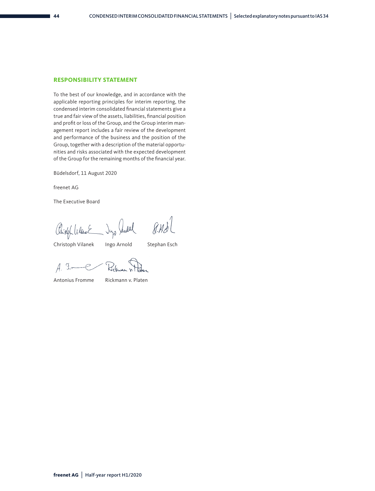#### **RESPONSIBILITY STATEMENT**

To the best of our knowledge, and in accordance with the applicable reporting principles for interim reporting, the condensed interim consolidated financial statements give a true and fair view of the assets, liabilities, financial position and profit or loss of the Group, and the Group interim management report includes a fair review of the development and performance of the business and the position of the Group, together with a description of the material opportunities and risks associated with the expected development of the Group for the remaining months of the financial year.

Büdelsdorf, 11 August 2020

freenet AG

The Executive Board

Chiefol Vilant Dyp July 8.43

Christoph Vilanek Ingo Arnold Stephan Esch

- Rickway  $A.5 - C$ 

Antonius Fromme Rickmann v. Platen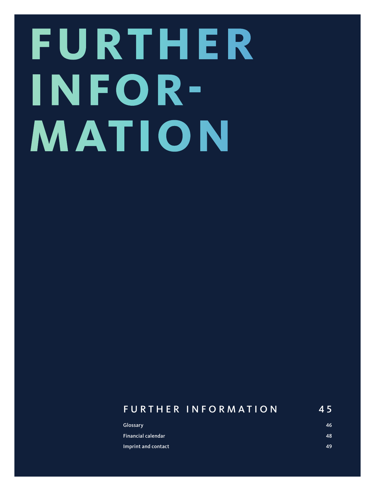# **FURTHER INFOR-MATION**

### FURTHER INFORMATION 45 Glossary 46 Financial calendar 48

Imprint and contact 49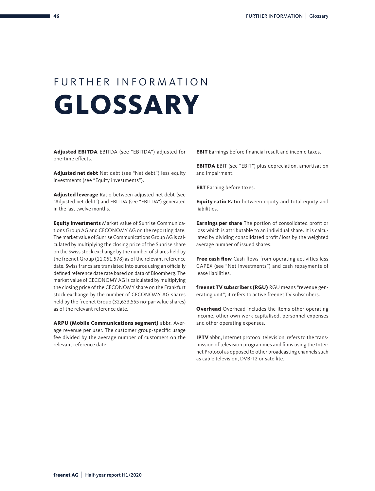## FURTHER INFORMATION **GLOSSARY**

**Adjusted EBITDA** EBITDA (see "EBITDA") adjusted for one-time effects.

**Adjusted net debt** Net debt (see "Net debt") less equity investments (see "Equity investments").

**Adjusted leverage** Ratio between adjusted net debt (see "Adjusted net debt") and EBITDA (see "EBITDA") generated in the last twelve months.

**Equity investments** Market value of Sunrise Communications Group AG and CECONOMY AG on the reporting date. The market value of Sunrise Communications Group AG is calculated by multiplying the closing price of the Sunrise share on the Swiss stock exchange by the number of shares held by the freenet Group (11,051,578) as of the relevant reference date. Swiss francs are translated into euros using an officially defined reference date rate based on data of Bloomberg. The market value of CECONOMY AG is calculated by multiplying the closing price of the CECONOMY share on the Frankfurt stock exchange by the number of CECONOMY AG shares held by the freenet Group (32,633,555 no-par-value shares) as of the relevant reference date.

**ARPU (Mobile Communications segment)** abbr. Average revenue per user. The customer group-specific usage fee divided by the average number of customers on the relevant reference date.

**EBIT** Earnings before financial result and income taxes.

**EBITDA** EBIT (see "EBIT") plus depreciation, amortisation and impairment.

**EBT** Earning before taxes.

**Equity ratio** Ratio between equity and total equity and liabilities.

**Earnings per share** The portion of consolidated profit or loss which is attributable to an individual share. It is calculated by dividing consolidated profit / loss by the weighted average number of issued shares.

**Free cash flow** Cash flows from operating activities less CAPEX (see "Net investments") and cash repayments of lease liabilities.

**freenet TV subscribers (RGU)** RGU means "revenue generating unit"; it refers to active freenet TV subscribers.

**Overhead** Overhead includes the items other operating income, other own work capitalised, personnel expenses and other operating expenses.

**IPTV** abbr., Internet protocol television; refers to the transmission of television programmes and films using the Internet Protocol as opposed to other broadcasting channels such as cable television, DVB-T2 or satellite.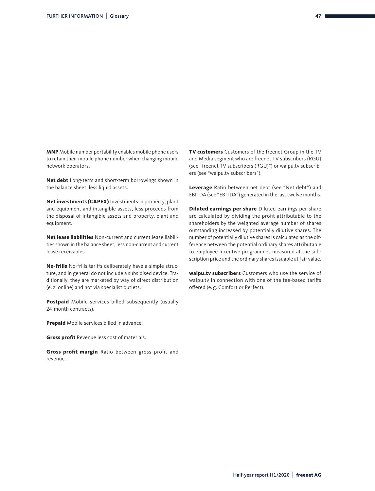**MNP** Mobile number portability enables mobile phone users to retain their mobile phone number when changing mobile network operators.

**Net debt** Long-term and short-term borrowings shown in the balance sheet, less liquid assets.

**Net investments (CAPEX)** Investments in property, plant and equipment and intangible assets, less proceeds from the disposal of intangible assets and property, plant and equipment.

**Net lease liabilities** Non-current and current lease liabilities shown in the balance sheet, less non-current and current lease receivables.

**No-frills** No-frills tariffs deliberately have a simple structure, and in general do not include a subsidised device. Traditionally, they are marketed by way of direct distribution (e. g. online) and not via specialist outlets.

**Postpaid** Mobile services billed subsequently (usually 24-month contracts).

**Prepaid** Mobile services billed in advance.

**Gross profit** Revenue less cost of materials.

**Gross profit margin** Ratio between gross profit and revenue.

**TV customers** Customers of the freenet Group in the TV and Media segment who are freenet TV subscribers (RGU) (see "freenet TV subscribers (RGU)") or waipu.tv subscribers (see "waipu.tv subscribers").

**Leverage** Ratio between net debt (see "Net debt") and EBITDA (see "EBITDA") generated in the last twelve months.

**Diluted earnings per share** Diluted earnings per share are calculated by dividing the profit attributable to the shareholders by the weighted average number of shares outstanding increased by potentially dilutive shares. The number of potentially dilutive shares is calculated as the difference between the potential ordinary shares attributable to employee incentive programmes measured at the subscription price and the ordinary shares issuable at fair value.

**waipu.tv subscribers** Customers who use the service of waipu.tv in connection with one of the fee-based tariffs offered (e. g. Comfort or Perfect).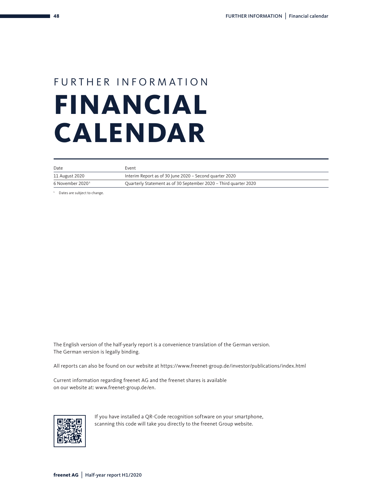# FURTHER INFORMATION **FINANCIAL CALENDAR**

| Date             | Event                                                            |
|------------------|------------------------------------------------------------------|
| 11 August 2020   | Interim Report as of 30 June 2020 – Second quarter 2020          |
| 6 November 20201 | Quarterly Statement as of 30 September 2020 - Third quarter 2020 |

<sup>1</sup> Dates are subject to change.

The English version of the half-yearly report is a convenience translation of the German version. The German version is legally binding.

All reports can also be found on our website at https://www.freenet-group.de/investor/publications/index.html

Current information regarding freenet AG and the freenet shares is available on our website at: www.freenet-group.de/en.



If you have installed a QR-Code recognition software on your smartphone, scanning this code will take you directly to the freenet Group website.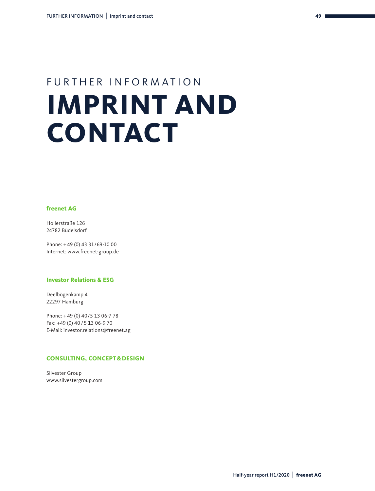# FURTHER INFORMATION **IMPRINT AND CONTACT**

#### **freenet AG**

Hollerstraße 126 24782 Büdelsdorf

Phone: + 49 (0) 43 31/69-10 00 Internet: www.freenet-group.de

#### **Investor Relations & ESG**

Deelbögenkamp 4 22297 Hamburg

Phone: + 49 (0) 40/5 13 06-7 78 Fax: +49 (0) 40 / 5 13 06-9 70 E-Mail: investor.relations@freenet.ag

#### **CONSULTING, CONCEPT&DESIGN**

Silvester Group www.silvestergroup.com